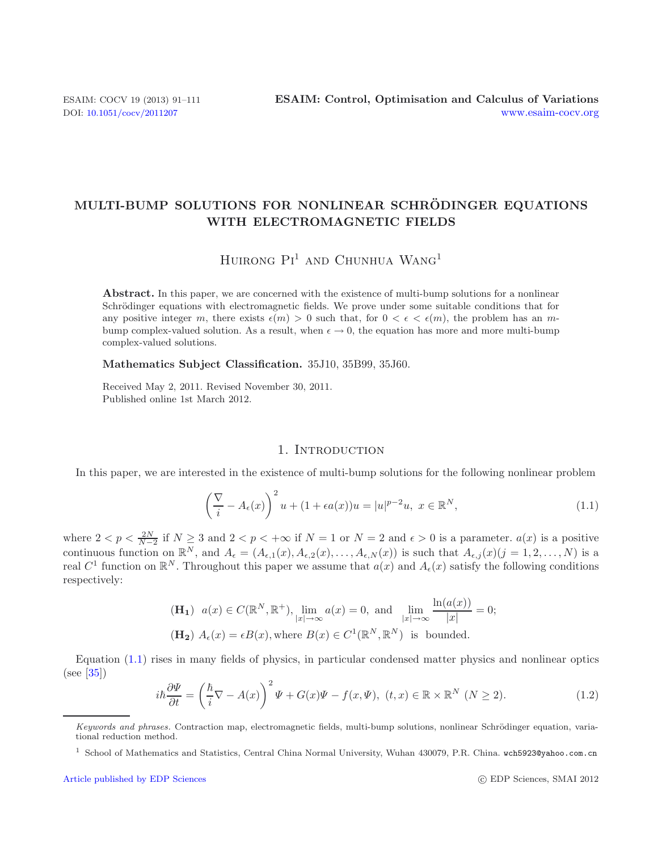## **MULTI-BUMP SOLUTIONS FOR NONLINEAR SCHRODINGER EQUATIONS ¨ WITH ELECTROMAGNETIC FIELDS**

# HUIRONG  $Pi^1$  and Chunhua Wang<sup>1</sup>

**Abstract.** In this paper, we are concerned with the existence of multi-bump solutions for a nonlinear Schrödinger equations with electromagnetic fields. We prove under some suitable conditions that for any positive integer m, there exists  $\epsilon(m) > 0$  such that, for  $0 < \epsilon < \epsilon(m)$ , the problem has an mbump complex-valued solution. As a result, when  $\epsilon \to 0$ , the equation has more and more multi-bump complex-valued solutions.

**Mathematics Subject Classification.** 35J10, 35B99, 35J60.

Received May 2, 2011. Revised November 30, 2011. Published online 1st March 2012.

#### <span id="page-0-0"></span>1. INTRODUCTION

In this paper, we are interested in the existence of multi-bump solutions for the following nonlinear problem

$$
\left(\frac{\nabla}{i} - A_{\epsilon}(x)\right)^2 u + (1 + \epsilon a(x))u = |u|^{p-2}u, \ x \in \mathbb{R}^N,
$$
\n(1.1)

<span id="page-0-1"></span>where  $2 < p < \frac{2N}{N-2}$  if  $N \ge 3$  and  $2 < p < +\infty$  if  $N = 1$  or  $N = 2$  and  $\epsilon > 0$  is a parameter.  $a(x)$  is a positive continuous function on  $\mathbb{R}^N$ , and  $A_{\epsilon} = (A_{\epsilon,1}(x), A_{\epsilon,2}(x), \ldots, A_{\epsilon,N}(x))$  is such that  $A_{\epsilon,j}(x)$  ( $j = 1, 2, \ldots, N$ ) is a real  $C^1$  function on  $\mathbb{R}^N$ . Throughout this paper we assume that  $a(x)$  and  $A_{\epsilon}(x)$  satisfy the following conditions respectively:

$$
\begin{aligned} &\textbf{(H_1)} \ \ a(x) \in C(\mathbb{R}^N, \mathbb{R}^+), \lim_{|x| \to \infty} a(x) = 0, \text{ and } \lim_{|x| \to \infty} \frac{\ln(a(x))}{|x|} = 0;\\ &\textbf{(H_2)} \ A_{\epsilon}(x) = \epsilon B(x), \text{where } B(x) \in C^1(\mathbb{R}^N, \mathbb{R}^N) \text{ is bounded.} \end{aligned}
$$

Equation [\(1.1\)](#page-0-0) rises in many fields of physics, in particular condensed matter physics and nonlinear optics (see [\[35\]](#page-20-0))

$$
i\hbar \frac{\partial \Psi}{\partial t} = \left(\frac{\hbar}{i}\nabla - A(x)\right)^2 \Psi + G(x)\Psi - f(x,\Psi), \ (t,x) \in \mathbb{R} \times \mathbb{R}^N \ (N \ge 2). \tag{1.2}
$$

Keywords and phrases. Contraction map, electromagnetic fields, multi-bump solutions, nonlinear Schrödinger equation, variational reduction method.

<sup>1</sup> School of Mathematics and Statistics, Central China Normal University, Wuhan 430079, P.R. China. wch5923@yahoo.com.cn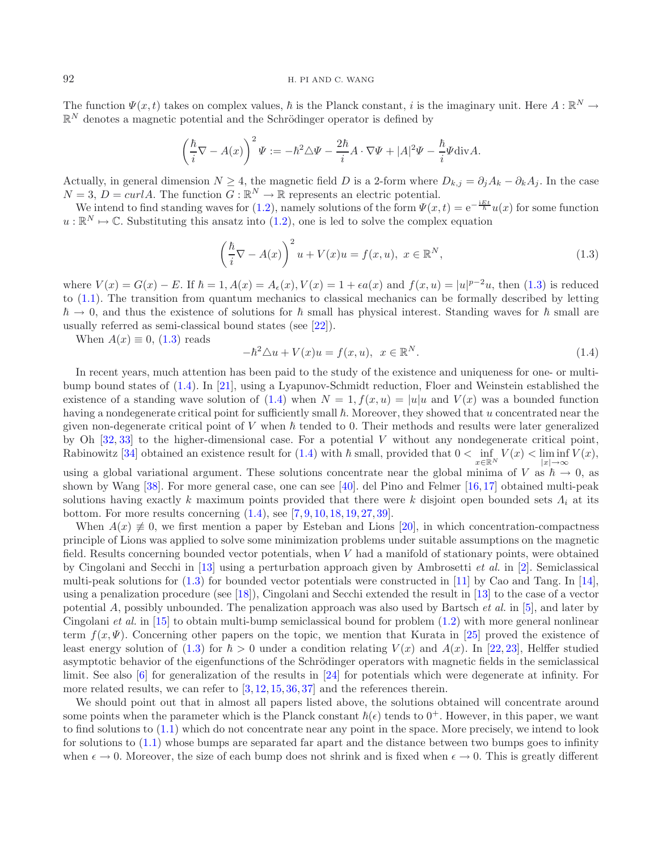#### 92 H. PI AND C. WANG

The function  $\Psi(x,t)$  takes on complex values,  $\hbar$  is the Planck constant, i is the imaginary unit. Here  $A: \mathbb{R}^N \to$  $\mathbb{R}^N$  denotes a magnetic potential and the Schrödinger operator is defined by

<span id="page-1-1"></span><span id="page-1-0"></span>
$$
\left(\frac{\hbar}{i}\nabla - A(x)\right)^2 \Psi := -\hbar^2 \triangle \Psi - \frac{2\hbar}{i}A \cdot \nabla \Psi + |A|^2 \Psi - \frac{\hbar}{i}\Psi \text{div} A.
$$

Actually, in general dimension  $N \geq 4$ , the magnetic field D is a 2-form where  $D_{k,j} = \partial_i A_k - \partial_k A_j$ . In the case  $N = 3$ ,  $D = \frac{curl A}{$ . The function  $G : \mathbb{R}^N \to \mathbb{R}$  represents an electric potential.

We intend to find standing waves for [\(1.2\)](#page-0-1), namely solutions of the form  $\Psi(x,t)=e^{-\frac{iEt}{\hbar}}u(x)$  for some function  $u : \mathbb{R}^N \mapsto \mathbb{C}$ . Substituting this ansatz into [\(1.2\)](#page-0-1), one is led to solve the complex equation

$$
\left(\frac{\hbar}{i}\nabla - A(x)\right)^2 u + V(x)u = f(x, u), \ x \in \mathbb{R}^N,
$$
\n(1.3)

where  $V(x) = G(x) - E$ . If  $\hbar = 1$ ,  $A(x) = A_{\epsilon}(x)$ ,  $V(x) = 1 + \epsilon a(x)$  and  $f(x, u) = |u|^{p-2}u$ , then [\(1.3\)](#page-1-0) is reduced to [\(1.1\)](#page-0-0). The transition from quantum mechanics to classical mechanics can be formally described by letting  $\hbar \to 0$ , and thus the existence of solutions for  $\hbar$  small has physical interest. Standing waves for  $\hbar$  small are usually referred as semi-classical bound states (see [\[22\]](#page-20-1)).

When  $A(x) \equiv 0$ , [\(1.3\)](#page-1-0) reads

$$
-\hbar^2 \triangle u + V(x)u = f(x, u), \quad x \in \mathbb{R}^N. \tag{1.4}
$$

In recent years, much attention has been paid to the study of the existence and uniqueness for one- or multibump bound states of [\(1.4\)](#page-1-1). In [\[21\]](#page-20-2), using a Lyapunov-Schmidt reduction, Floer and Weinstein established the existence of a standing wave solution of [\(1.4\)](#page-1-1) when  $N = 1$ ,  $f(x, u) = |u|u$  and  $V(x)$  was a bounded function having a nondegenerate critical point for sufficiently small  $\hbar$ . Moreover, they showed that u concentrated near the given non-degenerate critical point of V when  $\hbar$  tended to 0. Their methods and results were later generalized by Oh [\[32,](#page-20-3) [33](#page-20-4)] to the higher-dimensional case. For a potential V without any nondegenerate critical point, Rabinowitz [\[34\]](#page-20-5) obtained an existence result for  $(1.4)$  with  $\hbar$  small, provided that  $0 < \text{inf}$  $x\in\mathbb{R}^N$  $V(x) < \liminf$  $|x| \rightarrow \infty$  $V(x),$ 

using a global variational argument. These solutions concentrate near the global minima of V as  $\hbar \to 0$ , as shown by Wang [\[38\]](#page-20-6). For more general case, one can see [\[40](#page-20-7)]. del Pino and Felmer [\[16,](#page-19-0) [17\]](#page-19-1) obtained multi-peak solutions having exactly k maximum points provided that there were k disjoint open bounded sets  $\Lambda_i$  at its bottom. For more results concerning [\(1.4\)](#page-1-1), see [\[7,](#page-19-2) [9,](#page-19-3) [10,](#page-19-4) [18,](#page-20-8) [19,](#page-20-9) [27,](#page-20-10) [39\]](#page-20-11).

When  $A(x) \neq 0$ , we first mention a paper by Esteban and Lions [\[20](#page-20-12)], in which concentration-compactness principle of Lions was applied to solve some minimization problems under suitable assumptions on the magnetic field. Results concerning bounded vector potentials, when V had a manifold of stationary points, were obtained by Cingolani and Secchi in [\[13\]](#page-19-5) using a perturbation approach given by Ambrosetti *et al.* in [\[2](#page-19-6)]. Semiclassical multi-peak solutions for  $(1.3)$  for bounded vector potentials were constructed in [\[11](#page-19-7)] by Cao and Tang. In [\[14](#page-19-8)], using a penalization procedure (see [\[18\]](#page-20-8)), Cingolani and Secchi extended the result in [\[13\]](#page-19-5) to the case of a vector potential A, possibly unbounded. The penalization approach was also used by Bartsch *et al.* in [\[5\]](#page-19-9), and later by Cingolani *et al.* in [\[15](#page-19-10)] to obtain multi-bump semiclassical bound for problem [\(1.2\)](#page-0-1) with more general nonlinear term  $f(x, \Psi)$ . Concerning other papers on the topic, we mention that Kurata in [\[25\]](#page-20-13) proved the existence of least energy solution of [\(1.3\)](#page-1-0) for  $\hbar > 0$  under a condition relating  $V(x)$  and  $A(x)$ . In [\[22,](#page-20-1) [23\]](#page-20-14), Helffer studied asymptotic behavior of the eigenfunctions of the Schrödinger operators with magnetic fields in the semiclassical limit. See also [\[6](#page-19-11)] for generalization of the results in [\[24](#page-20-15)] for potentials which were degenerate at infinity. For more related results, we can refer to  $[3, 12, 15, 36, 37]$  $[3, 12, 15, 36, 37]$  $[3, 12, 15, 36, 37]$  $[3, 12, 15, 36, 37]$  $[3, 12, 15, 36, 37]$  $[3, 12, 15, 36, 37]$  $[3, 12, 15, 36, 37]$  $[3, 12, 15, 36, 37]$  $[3, 12, 15, 36, 37]$  $[3, 12, 15, 36, 37]$  and the references therein.

We should point out that in almost all papers listed above, the solutions obtained will concentrate around some points when the parameter which is the Planck constant  $\hbar(\epsilon)$  tends to  $0^+$ . However, in this paper, we want to find solutions to [\(1.1\)](#page-0-0) which do not concentrate near any point in the space. More precisely, we intend to look for solutions to [\(1.1\)](#page-0-0) whose bumps are separated far apart and the distance between two bumps goes to infinity when  $\epsilon \to 0$ . Moreover, the size of each bump does not shrink and is fixed when  $\epsilon \to 0$ . This is greatly different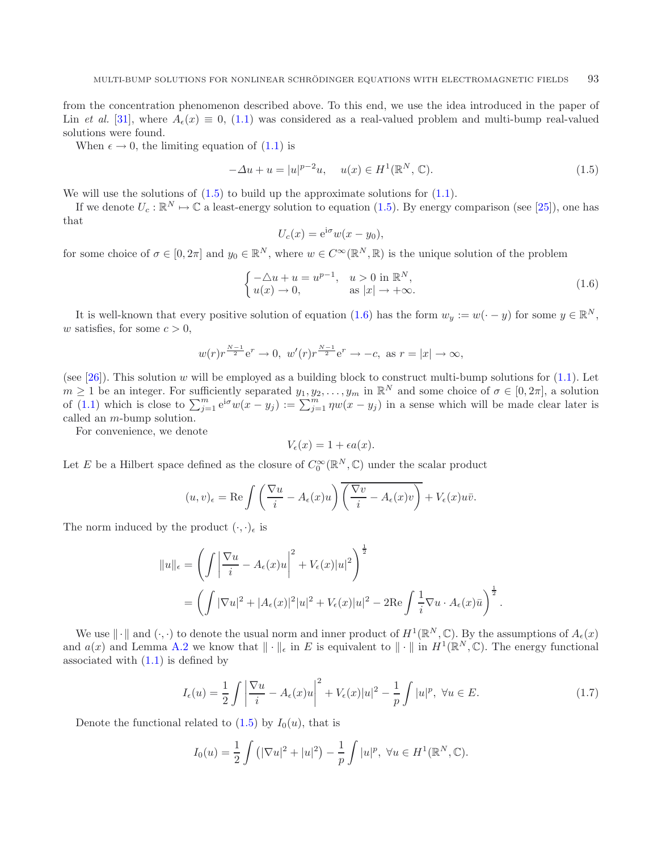from the concentration phenomenon described above. To this end, we use the idea introduced in the paper of Lin *et al.* [\[31\]](#page-20-18), where  $A_{\epsilon}(x) \equiv 0$ , [\(1.1\)](#page-0-0) was considered as a real-valued problem and multi-bump real-valued solutions were found.

When  $\epsilon \to 0$ , the limiting equation of  $(1.1)$  is

<span id="page-2-0"></span>
$$
-\Delta u + u = |u|^{p-2}u, \quad u(x) \in H^1(\mathbb{R}^N, \mathbb{C}).
$$
\n(1.5)

We will use the solutions of  $(1.5)$  to build up the approximate solutions for  $(1.1)$ .

If we denote  $U_c : \mathbb{R}^N \to \mathbb{C}$  a least-energy solution to equation [\(1.5\)](#page-2-0). By energy comparison (see [\[25\]](#page-20-13)), one has that

<span id="page-2-1"></span>
$$
U_c(x) = e^{i\sigma} w(x - y_0),
$$

for some choice of  $\sigma \in [0, 2\pi]$  and  $y_0 \in \mathbb{R}^N$ , where  $w \in C^\infty(\mathbb{R}^N, \mathbb{R})$  is the unique solution of the problem

$$
\begin{cases}\n-\triangle u + u = u^{p-1}, & u > 0 \text{ in } \mathbb{R}^N, \\
u(x) \to 0, & \text{as } |x| \to +\infty.\n\end{cases}
$$
\n(1.6)

It is well-known that every positive solution of equation [\(1.6\)](#page-2-1) has the form  $w_y := w(-y)$  for some  $y \in \mathbb{R}^N$ , w satisfies, for some  $c > 0$ ,

$$
w(r)r^{\frac{N-1}{2}}e^r \to 0
$$
,  $w'(r)r^{\frac{N-1}{2}}e^r \to -c$ , as  $r = |x| \to \infty$ ,

(see [\[26](#page-20-19)]). This solution w will be employed as a building block to construct multi-bump solutions for  $(1.1)$ . Let  $m \geq 1$  be an integer. For sufficiently separated  $y_1, y_2, \ldots, y_m$  in  $\mathbb{R}^N$  and some choice of  $\sigma \in [0, 2\pi]$ , a solution of [\(1.1\)](#page-0-0) which is close to  $\sum_{j=1}^{m} e^{i\sigma} w(x - y_j) := \sum_{j=1}^{m} \eta w(x - y_j)$  in a sense which will be made clear later is called an m-bump solution.

For convenience, we denote

$$
V_{\epsilon}(x) = 1 + \epsilon a(x).
$$

Let E be a Hilbert space defined as the closure of  $C_0^{\infty}(\mathbb{R}^N,\mathbb{C})$  under the scalar product

$$
(u,v)_{\epsilon} = \text{Re}\int \left(\frac{\nabla u}{i} - A_{\epsilon}(x)u\right)\overline{\left(\frac{\nabla v}{i} - A_{\epsilon}(x)v\right)} + V_{\epsilon}(x)u\bar{v}.
$$

The norm induced by the product  $(\cdot,\cdot)_\epsilon$  is

$$
||u||_{\epsilon} = \left(\int \left|\frac{\nabla u}{i} - A_{\epsilon}(x)u\right|^{2} + V_{\epsilon}(x)|u|^{2}\right)^{\frac{1}{2}}
$$
  
= 
$$
\left(\int |\nabla u|^{2} + |A_{\epsilon}(x)|^{2}|u|^{2} + V_{\epsilon}(x)|u|^{2} - 2\text{Re}\int \frac{1}{i}\nabla u \cdot A_{\epsilon}(x)\overline{u}\right)^{\frac{1}{2}}.
$$

We use  $\|\cdot\|$  and  $(\cdot, \cdot)$  to denote the usual norm and inner product of  $H^1(\mathbb{R}^N, \mathbb{C})$ . By the assumptions of  $A_{\epsilon}(x)$ and  $a(x)$  and Lemma [A.2](#page-18-0) we know that  $\|\cdot\|_{\epsilon}$  in E is equivalent to  $\|\cdot\|$  in  $H^1(\mathbb{R}^N,\mathbb{C})$ . The energy functional associated with  $(1.1)$  is defined by

$$
I_{\epsilon}(u) = \frac{1}{2} \int \left| \frac{\nabla u}{i} - A_{\epsilon}(x)u \right|^2 + V_{\epsilon}(x)|u|^2 - \frac{1}{p} \int |u|^p, \ \forall u \in E. \tag{1.7}
$$

Denote the functional related to  $(1.5)$  by  $I_0(u)$ , that is

$$
I_0(u) = \frac{1}{2} \int (|\nabla u|^2 + |u|^2) - \frac{1}{p} \int |u|^p, \ \forall u \in H^1(\mathbb{R}^N, \mathbb{C}).
$$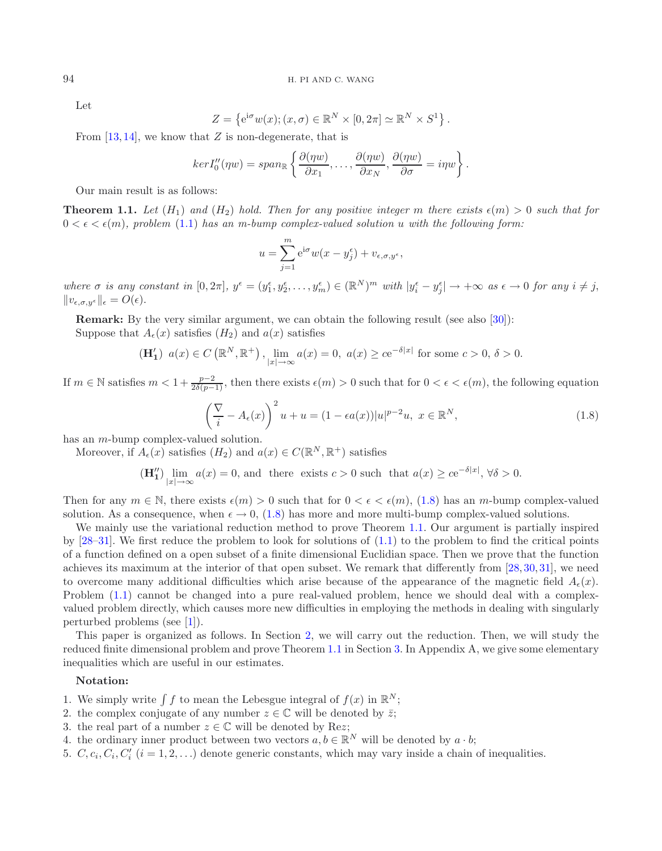Let

$$
Z = \left\{ e^{i\sigma} w(x); (x, \sigma) \in \mathbb{R}^N \times [0, 2\pi] \simeq \mathbb{R}^N \times S^1 \right\}.
$$

From  $[13, 14]$  $[13, 14]$  $[13, 14]$  $[13, 14]$ , we know that Z is non-degenerate, that is

$$
ker I_0''(\eta w) = span_{\mathbb{R}} \left\{ \frac{\partial(\eta w)}{\partial x_1}, \dots, \frac{\partial(\eta w)}{\partial x_N}, \frac{\partial(\eta w)}{\partial \sigma} = i\eta w \right\}.
$$

Our main result is as follows:

<span id="page-3-1"></span><span id="page-3-0"></span>**Theorem 1.1.** Let  $(H_1)$  and  $(H_2)$  hold. Then for any positive integer m there exists  $\epsilon(m) > 0$  such that for  $0 < \epsilon < \epsilon(m)$ , problem [\(1.1\)](#page-0-0) has an m-bump complex-valued solution u with the following form.

$$
u = \sum_{j=1}^{m} e^{i\sigma} w(x - y_j^{\epsilon}) + v_{\epsilon, \sigma, y^{\epsilon}},
$$

 $where \sigma is any constant in [0, 2\pi], y^{\epsilon} = (y_1^{\epsilon}, y_2^{\epsilon}, \dots, y_m^{\epsilon}) \in (\mathbb{R}^N)^m \text{ with } |y_i^{\epsilon} - y_j^{\epsilon}| \rightarrow +\infty \text{ as } \epsilon \rightarrow 0 \text{ for any } i \neq j$  $||v_{\epsilon,\sigma,y^{\epsilon}}||_{\epsilon} = O(\epsilon).$ 

**Remark:** By the very similar argument, we can obtain the following result (see also [\[30](#page-20-20)]):

Suppose that  $A_{\epsilon}(x)$  satisfies  $(H_2)$  and  $a(x)$  satisfies

$$
(\mathbf{H}'_1) \ \ a(x) \in C\left(\mathbb{R}^N, \mathbb{R}^+\right), \lim_{|x| \to \infty} a(x) = 0, \ a(x) \ge c e^{-\delta|x|} \text{ for some } c > 0, \ \delta > 0.
$$

If  $m \in \mathbb{N}$  satisfies  $m < 1 + \frac{p-2}{2\delta(p-1)}$ , then there exists  $\epsilon(m) > 0$  such that for  $0 < \epsilon < \epsilon(m)$ , the following equation

$$
\left(\frac{\nabla}{i} - A_{\epsilon}(x)\right)^2 u + u = (1 - \epsilon a(x))|u|^{p-2}u, \ x \in \mathbb{R}^N,
$$
\n(1.8)

has an m-bump complex-valued solution.

Moreover, if  $A_{\epsilon}(x)$  satisfies  $(H_2)$  and  $a(x) \in C(\mathbb{R}^N, \mathbb{R}^+)$  satisfies

$$
(\mathbf{H}'_1) \lim_{|x| \to \infty} a(x) = 0
$$
, and there exists  $c > 0$  such that  $a(x) \ge c e^{-\delta |x|}$ ,  $\forall \delta > 0$ .

Then for any  $m \in \mathbb{N}$ , there exists  $\epsilon(m) > 0$  such that for  $0 < \epsilon < \epsilon(m)$ , [\(1.8\)](#page-3-0) has an m-bump complex-valued solution. As a consequence, when  $\epsilon \to 0$ , [\(1.8\)](#page-3-0) has more and more multi-bump complex-valued solutions.

We mainly use the variational reduction method to prove Theorem [1.1.](#page-3-1) Our argument is partially inspired by  $[28-31]$  $[28-31]$ . We first reduce the problem to look for solutions of  $(1.1)$  to the problem to find the critical points of a function defined on a open subset of a finite dimensional Euclidian space. Then we prove that the function achieves its maximum at the interior of that open subset. We remark that differently from [\[28](#page-20-21), [30](#page-20-20), [31](#page-20-18)], we need to overcome many additional difficulties which arise because of the appearance of the magnetic field  $A_{\epsilon}(x)$ . Problem [\(1.1\)](#page-0-0) cannot be changed into a pure real-valued problem, hence we should deal with a complexvalued problem directly, which causes more new difficulties in employing the methods in dealing with singularly perturbed problems (see [\[1\]](#page-19-14)).

This paper is organized as follows. In Section [2,](#page-4-0) we will carry out the reduction. Then, we will study the reduced finite dimensional problem and prove Theorem [1.1](#page-3-1) in Section [3.](#page-12-0) In Appendix A, we give some elementary inequalities which are useful in our estimates.

#### **Notation:**

- 1. We simply write  $\int f$  to mean the Lebesgue integral of  $f(x)$  in  $\mathbb{R}^N$ ;
- 2. the complex conjugate of any number  $z \in \mathbb{C}$  will be denoted by  $\bar{z}$ ;
- 3. the real part of a number  $z \in \mathbb{C}$  will be denoted by Rez;
- 4. the ordinary inner product between two vectors  $a, b \in \mathbb{R}^N$  will be denoted by  $a \cdot b$ ;
- 5.  $C, c_i, C_i, C'_i$   $(i = 1, 2, ...)$  denote generic constants, which may vary inside a chain of inequalities.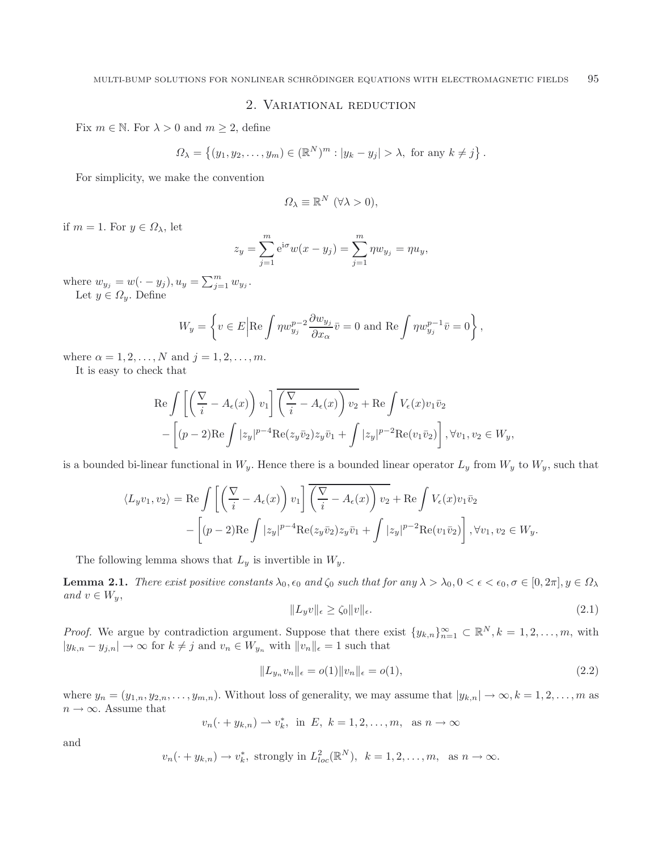## 2. Variational reduction

<span id="page-4-0"></span>Fix  $m \in \mathbb{N}$ . For  $\lambda > 0$  and  $m \geq 2$ , define

$$
\Omega_{\lambda} = \left\{ (y_1, y_2, \dots, y_m) \in (\mathbb{R}^N)^m : |y_k - y_j| > \lambda, \text{ for any } k \neq j \right\}.
$$

For simplicity, we make the convention

$$
\Omega_{\lambda} \equiv \mathbb{R}^{N} \ (\forall \lambda > 0),
$$

if  $m = 1$ . For  $y \in \Omega_{\lambda}$ , let

$$
z_y = \sum_{j=1}^m e^{i\sigma} w(x - y_j) = \sum_{j=1}^m \eta w_{y_j} = \eta u_y,
$$

where  $w_{y_j} = w(\cdot - y_j), u_y = \sum_{j=1}^m w_{y_j}$ .

Let  $y \in \Omega_y$ . Define

$$
W_y = \left\{ v \in E \Big| \text{Re} \int \eta w_{y_j}^{p-2} \frac{\partial w_{y_j}}{\partial x_\alpha} \overline{v} = 0 \text{ and } \text{Re} \int \eta w_{y_j}^{p-1} \overline{v} = 0 \right\},\,
$$

where  $\alpha = 1, 2, ..., N$  and  $j = 1, 2, ..., m$ .

It is easy to check that

<span id="page-4-2"></span>
$$
\operatorname{Re}\int \left[ \left( \frac{\nabla}{i} - A_{\epsilon}(x) \right) v_{1} \right] \overline{\left( \frac{\nabla}{i} - A_{\epsilon}(x) \right) v_{2}} + \operatorname{Re}\int V_{\epsilon}(x) v_{1} \overline{v}_{2} - \left[ (p-2) \operatorname{Re}\int |z_{y}|^{p-4} \operatorname{Re}(z_{y} \overline{v}_{2}) z_{y} \overline{v}_{1} + \int |z_{y}|^{p-2} \operatorname{Re}(v_{1} \overline{v}_{2}) \right], \forall v_{1}, v_{2} \in W_{y},
$$

is a bounded bi-linear functional in  $W_y$ . Hence there is a bounded linear operator  $L_y$  from  $W_y$  to  $W_y$ , such that

$$
\langle L_y v_1, v_2 \rangle = \text{Re} \int \left[ \left( \frac{\nabla}{i} - A_{\epsilon}(x) \right) v_1 \right] \overline{\left( \frac{\nabla}{i} - A_{\epsilon}(x) \right) v_2} + \text{Re} \int V_{\epsilon}(x) v_1 \overline{v}_2
$$

$$
- \left[ (p-2) \text{Re} \int |z_y|^{p-4} \text{Re}(z_y \overline{v}_2) z_y \overline{v}_1 + \int |z_y|^{p-2} \text{Re}(v_1 \overline{v}_2) \right], \forall v_1, v_2 \in W_y.
$$

The following lemma shows that  $L_y$  is invertible in  $W_y$ .

**Lemma 2.1.** *There exist positive constants*  $\lambda_0$ ,  $\epsilon_0$  *and*  $\zeta_0$  *such that for any*  $\lambda > \lambda_0$ ,  $0 < \epsilon < \epsilon_0$ ,  $\sigma \in [0, 2\pi]$ ,  $y \in \Omega_\lambda$ *and*  $v \in W_y$ ,

<span id="page-4-1"></span>
$$
||L_y v||_{\epsilon} \ge \zeta_0 ||v||_{\epsilon}.\tag{2.1}
$$

*Proof.* We argue by contradiction argument. Suppose that there exist  $\{y_{k,n}\}_{n=1}^{\infty} \subset \mathbb{R}^N, k = 1, 2, ..., m$ , with  $|y_{k,n} - y_{j,n}| \to \infty$  for  $k \neq j$  and  $v_n \in W_{y_n}$  with  $||v_n||_{\epsilon} = 1$  such that

$$
||L_{y_n}v_n||_{\epsilon} = o(1)||v_n||_{\epsilon} = o(1),
$$
\n(2.2)

where  $y_n = (y_{1,n}, y_{2,n}, \ldots, y_{m,n})$ . Without loss of generality, we may assume that  $|y_{k,n}| \to \infty, k = 1, 2, \ldots, m$  as  $n \to \infty$ . Assume that

$$
v_n(\cdot + y_{k,n}) \to v_k^*
$$
, in  $E, k = 1, 2, ..., m$ , as  $n \to \infty$ 

and

$$
v_n(\cdot+y_{k,n})\to v_k^*
$$
, strongly in  $L_{loc}^2(\mathbb{R}^N)$ ,  $k=1,2,\ldots,m$ , as  $n\to\infty$ .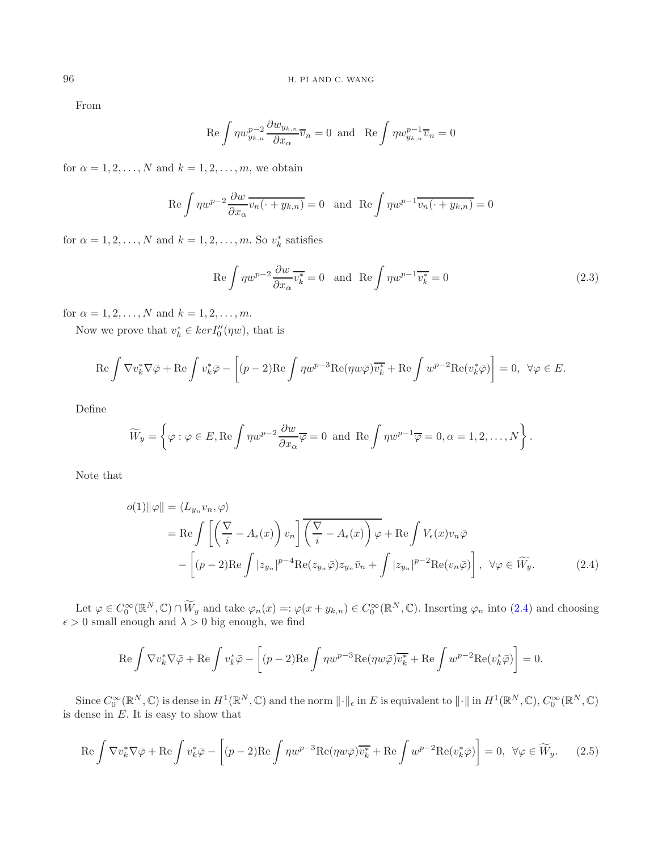From

<span id="page-5-2"></span>
$$
\operatorname{Re} \int \eta w_{y_{k,n}}^{p-2} \frac{\partial w_{y_{k,n}}}{\partial x_{\alpha}} \overline{v}_n = 0 \text{ and } \operatorname{Re} \int \eta w_{y_{k,n}}^{p-1} \overline{v}_n = 0
$$

for  $\alpha = 1, 2, \ldots, N$  and  $k = 1, 2, \ldots, m$ , we obtain

$$
\operatorname{Re} \int \eta w^{p-2} \frac{\partial w}{\partial x_{\alpha}} \overline{v_n(\cdot + y_{k,n})} = 0 \quad \text{and} \quad \operatorname{Re} \int \eta w^{p-1} \overline{v_n(\cdot + y_{k,n})} = 0
$$

for  $\alpha = 1, 2, ..., N$  and  $k = 1, 2, ..., m$ . So  $v_k^*$  satisfies

<span id="page-5-0"></span>
$$
\text{Re}\int \eta w^{p-2} \frac{\partial w}{\partial x_{\alpha}} \overline{v_k^*} = 0 \quad \text{and} \quad \text{Re}\int \eta w^{p-1} \overline{v_k^*} = 0 \tag{2.3}
$$

for  $\alpha = 1, 2, ..., N$  and  $k = 1, 2, ..., m$ .

Now we prove that  $v_k^* \in \ker I_0''(\eta w)$ , that is

$$
\operatorname{Re}\int \nabla v_k^*\nabla \bar{\varphi} + \operatorname{Re}\int v_k^*\bar{\varphi} - \left[ (p-2)\operatorname{Re}\int \eta w^{p-3} \operatorname{Re}(\eta w \bar{\varphi}) \overline{v_k^*} + \operatorname{Re}\int w^{p-2} \operatorname{Re}(v_k^*\bar{\varphi}) \right] = 0, \ \ \forall \varphi \in E.
$$

Define

$$
\widetilde{W}_y = \left\{ \varphi : \varphi \in E, \text{Re} \int \eta w^{p-2} \frac{\partial w}{\partial x_\alpha} \overline{\varphi} = 0 \text{ and } \text{Re} \int \eta w^{p-1} \overline{\varphi} = 0, \alpha = 1, 2, \dots, N \right\}.
$$

Note that

<span id="page-5-1"></span>
$$
o(1)||\varphi|| = \langle L_{y_n} v_n, \varphi \rangle
$$
  
= Re  $\int \left[ \left( \frac{\nabla}{i} - A_{\epsilon}(x) \right) v_n \right] \overline{\left( \frac{\nabla}{i} - A_{\epsilon}(x) \right) \varphi} + \text{Re} \int V_{\epsilon}(x) v_n \overline{\varphi}$   

$$
- \left[ (p-2) \text{Re} \int |z_{y_n}|^{p-4} \text{Re}(z_{y_n} \overline{\varphi}) z_{y_n} \overline{v}_n + \int |z_{y_n}|^{p-2} \text{Re}(v_n \overline{\varphi}) \right], \ \forall \varphi \in \widetilde{W}_y.
$$
 (2.4)

Let  $\varphi \in C_0^{\infty}(\mathbb{R}^N, \mathbb{C}) \cap \widetilde{W}_y$  and take  $\varphi_n(x) =: \varphi(x + y_{k,n}) \in C_0^{\infty}(\mathbb{R}^N, \mathbb{C})$ . Inserting  $\varphi_n$  into [\(2.4\)](#page-5-0) and choosing  $\epsilon > 0$  small enough and  $\lambda > 0$  big enough, we find

$$
\operatorname{Re} \int \nabla v_k^* \nabla \bar{\varphi} + \operatorname{Re} \int v_k^* \bar{\varphi} - \left[ (p-2) \operatorname{Re} \int \eta w^{p-3} \operatorname{Re} (\eta w \bar{\varphi}) \overline{v_k^*} + \operatorname{Re} \int w^{p-2} \operatorname{Re} (v_k^* \bar{\varphi}) \right] = 0.
$$

Since  $C_0^{\infty}(\mathbb{R}^N,\mathbb{C})$  is dense in  $H^1(\mathbb{R}^N,\mathbb{C})$  and the norm  $\lVert \cdot \rVert_{\epsilon}$  in E is equivalent to  $\lVert \cdot \rVert$  in  $H^1(\mathbb{R}^N,\mathbb{C})$ ,  $C_0^{\infty}(\mathbb{R}^N,\mathbb{C})$ is dense in  $E$ . It is easy to show that

$$
\operatorname{Re}\int \nabla v_k^* \nabla \bar{\varphi} + \operatorname{Re}\int v_k^* \bar{\varphi} - \left[ (p-2)\operatorname{Re}\int \eta w^{p-3} \operatorname{Re}(\eta w \bar{\varphi}) \overline{v_k^*} + \operatorname{Re}\int w^{p-2} \operatorname{Re}(v_k^* \bar{\varphi}) \right] = 0, \ \ \forall \varphi \in \widetilde{W}_y. \tag{2.5}
$$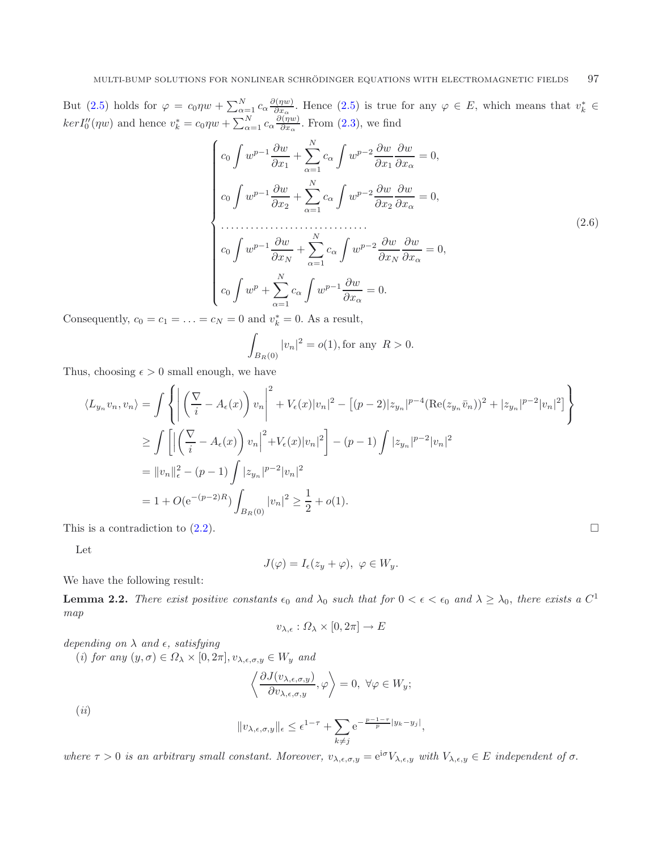But [\(2.5\)](#page-5-1) holds for  $\varphi = c_0 \eta w + \sum_{\alpha=1}^N c_\alpha \frac{\partial(\eta w)}{\partial x_\alpha}$ . Hence (2.5) is true for any  $\varphi \in E$ , which means that  $v_k^* \in E$  $ker I''_0(\eta w)$  and hence  $v_k^* = c_0 \eta w + \sum_{\alpha=1}^N c_\alpha \frac{\partial(\eta w)}{\partial x_\alpha}$ . From [\(2.3\)](#page-5-2), we find

$$
\begin{cases}\nc_0 \int w^{p-1} \frac{\partial w}{\partial x_1} + \sum_{\alpha=1}^N c_\alpha \int w^{p-2} \frac{\partial w}{\partial x_1} \frac{\partial w}{\partial x_\alpha} = 0, \\
c_0 \int w^{p-1} \frac{\partial w}{\partial x_2} + \sum_{\alpha=1}^N c_\alpha \int w^{p-2} \frac{\partial w}{\partial x_2} \frac{\partial w}{\partial x_\alpha} = 0, \\
&\dots \\
c_0 \int w^{p-1} \frac{\partial w}{\partial x_N} + \sum_{\alpha=1}^N c_\alpha \int w^{p-2} \frac{\partial w}{\partial x_N} \frac{\partial w}{\partial x_\alpha} = 0, \\
&c_0 \int w^p + \sum_{\alpha=1}^N c_\alpha \int w^{p-1} \frac{\partial w}{\partial x_\alpha} = 0.\n\end{cases} \tag{2.6}
$$

Consequently,  $c_0 = c_1 = \ldots = c_N = 0$  and  $v_k^* = 0$ . As a result,

$$
\int_{B_R(0)} |v_n|^2 = o(1), \text{for any } R > 0.
$$

Thus, choosing  $\epsilon > 0$  small enough, we have

$$
\langle L_{y_n} v_n, v_n \rangle = \int \left\{ \left| \left( \frac{\nabla}{i} - A_{\epsilon}(x) \right) v_n \right|^2 + V_{\epsilon}(x) |v_n|^2 - \left[ (p-2) |z_{y_n}|^{p-4} (\text{Re}(z_{y_n} \bar{v}_n))^2 + |z_{y_n}|^{p-2} |v_n|^2 \right] \right\}
$$
  
\n
$$
\geq \int \left[ \left| \left( \frac{\nabla}{i} - A_{\epsilon}(x) \right) v_n \right|^2 + V_{\epsilon}(x) |v_n|^2 \right] - (p-1) \int |z_{y_n}|^{p-2} |v_n|^2
$$
  
\n
$$
= ||v_n||_{\epsilon}^2 - (p-1) \int |z_{y_n}|^{p-2} |v_n|^2
$$
  
\n
$$
= 1 + O(e^{-(p-2)R}) \int_{B_R(0)} |v_n|^2 \geq \frac{1}{2} + o(1).
$$

This is a contradiction to  $(2.2)$ .

Let

$$
J(\varphi) = I_{\epsilon}(z_y + \varphi), \ \varphi \in W_y.
$$

<span id="page-6-0"></span>We have the following result:

**Lemma 2.2.** *There exist positive constants*  $\epsilon_0$  *and*  $\lambda_0$  *such that for*  $0 < \epsilon < \epsilon_0$  *and*  $\lambda \geq \lambda_0$ *, there exists* a  $C^1$ *map*

$$
v_{\lambda,\epsilon}: \Omega_\lambda \times [0,2\pi] \to E
$$

 $depending on  $\lambda$  and  $\epsilon$ , satisfying$ 

(*i*) *for any*  $(y, \sigma) \in \Omega_\lambda \times [0, 2\pi], v_{\lambda, \epsilon, \sigma, y} \in W_y$  *and* 

$$
\left\langle \frac{\partial J(v_{\lambda,\epsilon,\sigma,y})}{\partial v_{\lambda,\epsilon,\sigma,y}},\varphi \right\rangle = 0, \ \forall \varphi \in W_y;
$$

(*ii*)

$$
||v_{\lambda,\epsilon,\sigma,y}||_{\epsilon} \leq \epsilon^{1-\tau} + \sum_{k \neq j} e^{-\frac{p-1-\tau}{p}|y_k-y_j|},
$$

 $where \tau > 0$  is an arbitrary small constant. Moreover,  $v_{\lambda,\epsilon,\sigma,y} = e^{i\sigma} V_{\lambda,\epsilon,y}$  with  $V_{\lambda,\epsilon,y} \in E$  independent of  $\sigma$ .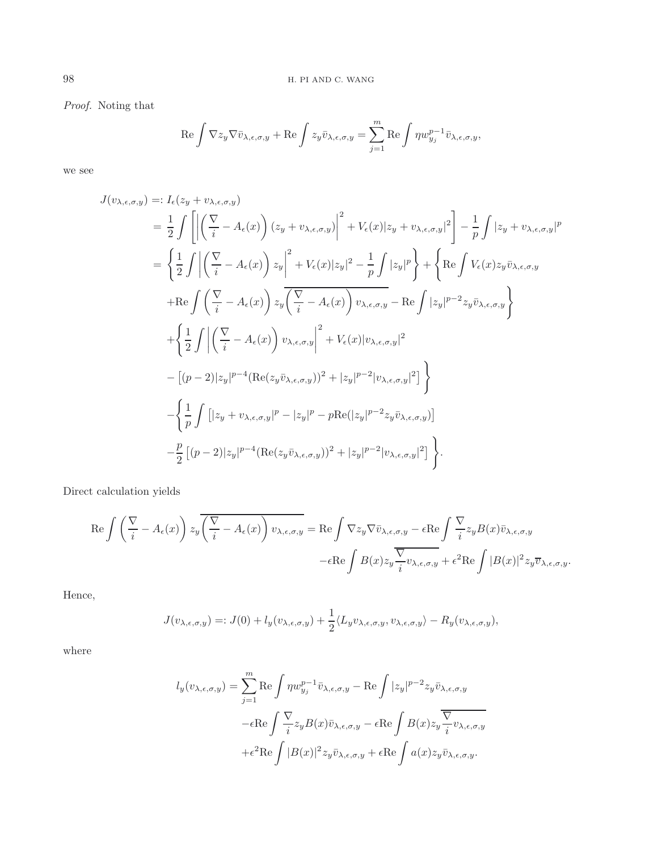*Proof.* Noting that

$$
\operatorname{Re} \int \nabla z_y \nabla \bar{v}_{\lambda,\epsilon,\sigma,y} + \operatorname{Re} \int z_y \bar{v}_{\lambda,\epsilon,\sigma,y} = \sum_{j=1}^m \operatorname{Re} \int \eta w_{y_j}^{p-1} \bar{v}_{\lambda,\epsilon,\sigma,y},
$$

we see

$$
J(v_{\lambda,\epsilon,\sigma,y}) =: I_{\epsilon}(z_{y} + v_{\lambda,\epsilon,\sigma,y})
$$
  
\n
$$
= \frac{1}{2} \int \left[ \left| \left( \frac{\nabla}{i} - A_{\epsilon}(x) \right) (z_{y} + v_{\lambda,\epsilon,\sigma,y}) \right|^{2} + V_{\epsilon}(x) |z_{y} + v_{\lambda,\epsilon,\sigma,y}|^{2} \right] - \frac{1}{p} \int |z_{y} + v_{\lambda,\epsilon,\sigma,y}|^{p}
$$
  
\n
$$
= \left\{ \frac{1}{2} \int \left| \left( \frac{\nabla}{i} - A_{\epsilon}(x) \right) z_{y} \right|^{2} + V_{\epsilon}(x) |z_{y}|^{2} - \frac{1}{p} \int |z_{y}|^{p} \right\} + \left\{ \text{Re} \int V_{\epsilon}(x) z_{y} \bar{v}_{\lambda,\epsilon,\sigma,y} + \text{Re} \int \left( \frac{\nabla}{i} - A_{\epsilon}(x) \right) z_{y} \overline{\left( \frac{\nabla}{i} - A_{\epsilon}(x) \right) v_{\lambda,\epsilon,\sigma,y}} - \text{Re} \int |z_{y}|^{p-2} z_{y} \bar{v}_{\lambda,\epsilon,\sigma,y} \right\}
$$
  
\n
$$
+ \left\{ \frac{1}{2} \int \left| \left( \frac{\nabla}{i} - A_{\epsilon}(x) \right) v_{\lambda,\epsilon,\sigma,y} \right|^{2} + V_{\epsilon}(x) |v_{\lambda,\epsilon,\sigma,y}|^{2} \right.
$$
  
\n
$$
- [(p-2)|z_{y}|^{p-4} (\text{Re}(z_{y} \bar{v}_{\lambda,\epsilon,\sigma,y}))^{2} + |z_{y}|^{p-2} |v_{\lambda,\epsilon,\sigma,y}|^{2}] \right\}
$$
  
\n
$$
- \left\{ \frac{1}{p} \int \left[ |z_{y} + v_{\lambda,\epsilon,\sigma,y}|^{p} - |z_{y}|^{p} - p \text{Re}(|z_{y}|^{p-2} z_{y} \bar{v}_{\lambda,\epsilon,\sigma,y}) \right] - \frac{p}{2} [(p-2)|z_{y}|^{p-4} (\text{Re}(z_{y} \bar{v}_{\lambda,\epsilon,\sigma,y}))^{2} + |z_{y}|^{p-2} |v_{\lambda,\epsilon,\sigma,y}|^{2}] \right\}.
$$

Direct calculation yields

$$
\operatorname{Re}\int \left(\frac{\nabla}{i} - A_{\epsilon}(x)\right) z_{y} \overline{\left(\frac{\nabla}{i} - A_{\epsilon}(x)\right) v_{\lambda,\epsilon,\sigma,y}} = \operatorname{Re}\int \nabla z_{y} \nabla \bar{v}_{\lambda,\epsilon,\sigma,y} - \epsilon \operatorname{Re}\int \frac{\nabla}{i} z_{y} B(x) \bar{v}_{\lambda,\epsilon,\sigma,y} \n- \epsilon \operatorname{Re}\int B(x) z_{y} \frac{\overline{\nabla}}{i} v_{\lambda,\epsilon,\sigma,y} + \epsilon^{2} \operatorname{Re}\int |B(x)|^{2} z_{y} \overline{v}_{\lambda,\epsilon,\sigma,y}.
$$

Hence,

$$
J(v_{\lambda,\epsilon,\sigma,y}) =: J(0) + l_y(v_{\lambda,\epsilon,\sigma,y}) + \frac{1}{2} \langle L_y v_{\lambda,\epsilon,\sigma,y}, v_{\lambda,\epsilon,\sigma,y} \rangle - R_y(v_{\lambda,\epsilon,\sigma,y}),
$$

where

$$
l_y(v_{\lambda,\epsilon,\sigma,y}) = \sum_{j=1}^m \text{Re} \int \eta w_{y_j}^{p-1} \bar{v}_{\lambda,\epsilon,\sigma,y} - \text{Re} \int |z_y|^{p-2} z_y \bar{v}_{\lambda,\epsilon,\sigma,y}
$$

$$
-\epsilon \text{Re} \int \frac{\nabla}{i} z_y B(x) \bar{v}_{\lambda,\epsilon,\sigma,y} - \epsilon \text{Re} \int B(x) z_y \frac{\nabla}{i} v_{\lambda,\epsilon,\sigma,y}
$$

$$
+\epsilon^2 \text{Re} \int |B(x)|^2 z_y \bar{v}_{\lambda,\epsilon,\sigma,y} + \epsilon \text{Re} \int a(x) z_y \bar{v}_{\lambda,\epsilon,\sigma,y}.
$$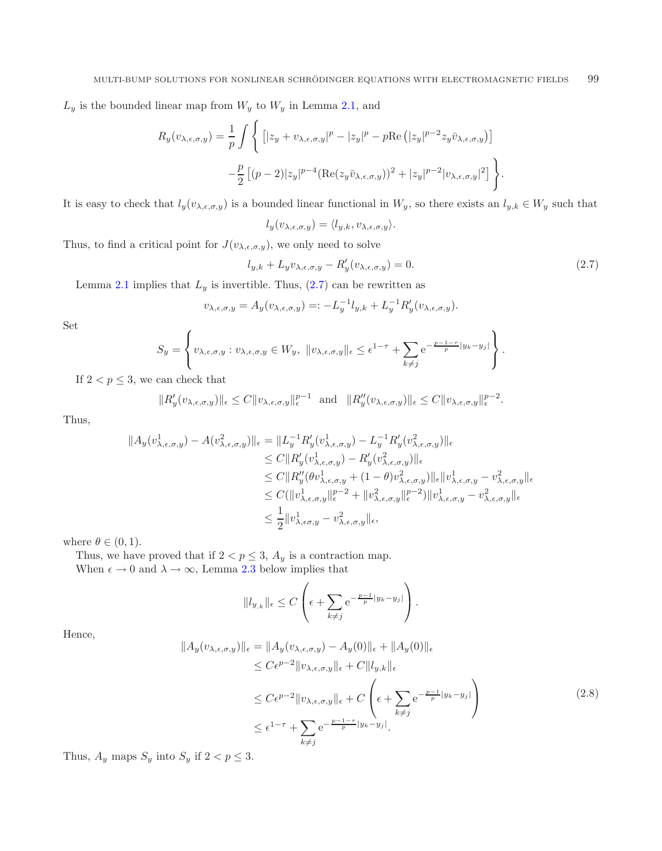$L_y$  is the bounded linear map from  $W_y$  to  $W_y$  in Lemma [2.1,](#page-4-2) and

$$
R_y(v_{\lambda,\epsilon,\sigma,y}) = \frac{1}{p} \int \left\{ \left[ |z_y + v_{\lambda,\epsilon,\sigma,y}|^p - |z_y|^p - p \text{Re} \left( |z_y|^{p-2} z_y \bar{v}_{\lambda,\epsilon,\sigma,y} \right) \right] - \frac{p}{2} \left[ (p-2) |z_y|^{p-4} (\text{Re}(z_y \bar{v}_{\lambda,\epsilon,\sigma,y}))^2 + |z_y|^{p-2} |v_{\lambda,\epsilon,\sigma,y}|^2 \right] \right\}.
$$

It is easy to check that  $l_y(v_{\lambda,\epsilon,\sigma,y})$  is a bounded linear functional in  $W_y$ , so there exists an  $l_{y,k} \in W_y$  such that

<span id="page-8-0"></span>
$$
l_y(v_{\lambda,\epsilon,\sigma,y}) = \langle l_{y,k}, v_{\lambda,\epsilon,\sigma,y} \rangle.
$$

Thus, to find a critical point for  $J(v_{\lambda,\epsilon,\sigma,y})$ , we only need to solve

$$
l_{y,k} + L_y v_{\lambda,\epsilon,\sigma,y} - R_y'(v_{\lambda,\epsilon,\sigma,y}) = 0.
$$
\n(2.7)

Lemma [2.1](#page-4-2) implies that  $L_y$  is invertible. Thus, [\(2.7\)](#page-8-0) can be rewritten as

$$
v_{\lambda,\epsilon,\sigma,y} = A_y(v_{\lambda,\epsilon,\sigma,y}) =: -L_y^{-1}l_{y,k} + L_y^{-1}R'_y(v_{\lambda,\epsilon,\sigma,y}).
$$

Set

$$
S_y = \left\{ v_{\lambda,\epsilon,\sigma,y} : v_{\lambda,\epsilon,\sigma,y} \in W_y, \ \|v_{\lambda,\epsilon,\sigma,y}\|_{\epsilon} \leq \epsilon^{1-\tau} + \sum_{k \neq j} e^{-\frac{p-1-\tau}{p}|y_k - y_j|} \right\}.
$$

If  $2 < p \leq 3$ , we can check that

$$
||R'_{y}(v_{\lambda,\epsilon,\sigma,y})||_{\epsilon} \leq C||v_{\lambda,\epsilon,\sigma,y}||_{\epsilon}^{p-1} \text{ and } ||R''_{y}(v_{\lambda,\epsilon,\sigma,y})||_{\epsilon} \leq C||v_{\lambda,\epsilon,\sigma,y}||_{\epsilon}^{p-2}.
$$

<span id="page-8-1"></span>Thus,

$$
\|A_y(v_{\lambda,\epsilon,\sigma,y}^1) - A(v_{\lambda,\epsilon,\sigma,y}^2)\|_{\epsilon} = \|L_y^{-1}R'_y(v_{\lambda,\epsilon,\sigma,y}^1) - L_y^{-1}R'_y(v_{\lambda,\epsilon,\sigma,y}^2)\|_{\epsilon}
$$
  
\n
$$
\leq C \|R'_y(v_{\lambda,\epsilon,\sigma,y}^1) - R'_y(v_{\lambda,\epsilon,\sigma,y}^2)\|_{\epsilon}
$$
  
\n
$$
\leq C \|R''_y(\theta v_{\lambda,\epsilon,\sigma,y}^1 + (1-\theta)v_{\lambda,\epsilon,\sigma,y}^2)\|_{\epsilon} \|v_{\lambda,\epsilon,\sigma,y}^1 - v_{\lambda,\epsilon,\sigma,y}^2\|_{\epsilon}
$$
  
\n
$$
\leq C (\|v_{\lambda,\epsilon,\sigma,y}^1\|_{\epsilon}^{p-2} + \|v_{\lambda,\epsilon,\sigma,y}^2\|_{\epsilon}^{p-2}) \|v_{\lambda,\epsilon,\sigma,y}^1 - v_{\lambda,\epsilon,\sigma,y}^2\|_{\epsilon}
$$
  
\n
$$
\leq \frac{1}{2} \|v_{\lambda,\epsilon\sigma,y}^1 - v_{\lambda,\epsilon,\sigma,y}^2\|_{\epsilon},
$$

where  $\theta \in (0,1)$ .

Thus, we have proved that if  $2 < p \leq 3$ ,  $A_y$  is a contraction map.

When  $\epsilon \to 0$  and  $\lambda \to \infty$ , Lemma [2.3](#page-10-0) below implies that

$$
||l_{y,k}||_{\epsilon} \leq C \left( \epsilon + \sum_{k \neq j} e^{-\frac{p-1}{p}|y_k - y_j|} \right).
$$

Hence,

$$
||A_y(v_{\lambda,\epsilon,\sigma,y})||_{\epsilon} = ||A_y(v_{\lambda,\epsilon,\sigma,y}) - A_y(0)||_{\epsilon} + ||A_y(0)||_{\epsilon}
$$
  
\n
$$
\leq C\epsilon^{p-2} ||v_{\lambda,\epsilon,\sigma,y}||_{\epsilon} + C||l_{y,k}||_{\epsilon}
$$
  
\n
$$
\leq C\epsilon^{p-2} ||v_{\lambda,\epsilon,\sigma,y}||_{\epsilon} + C\left(\epsilon + \sum_{k\neq j} e^{-\frac{p-1}{p}|y_k - y_j|}\right)
$$
  
\n
$$
\leq \epsilon^{1-\tau} + \sum_{k\neq j} e^{-\frac{p-1-\tau}{p}|y_k - y_j|}.
$$
\n(2.8)

Thus,  $A_y$  maps  $S_y$  into  $S_y$  if  $2 < p \leq 3$ .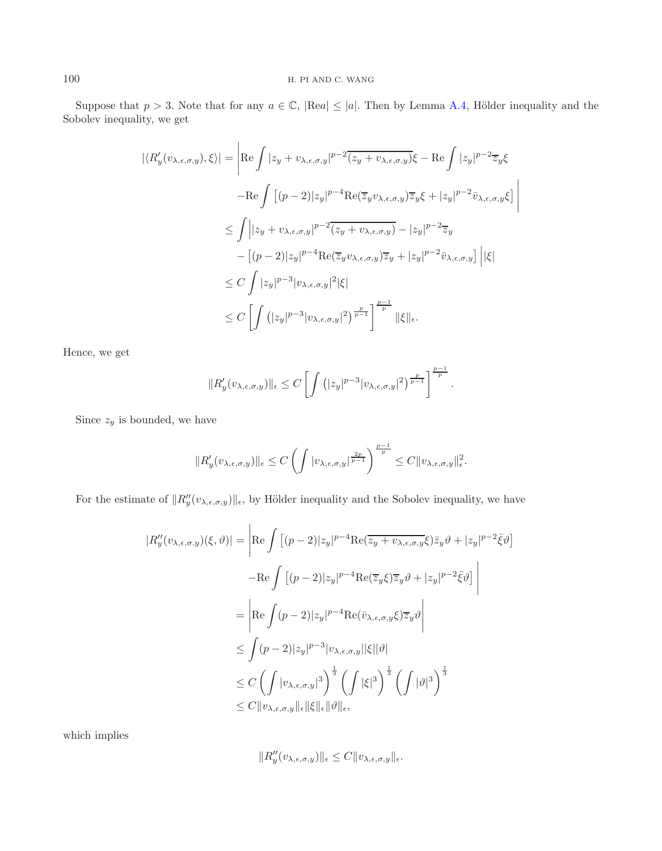Suppose that  $p > 3$ . Note that for any  $a \in \mathbb{C}$ ,  $|\text{Re}a| \leq |a|$ . Then by Lemma [A.4,](#page-18-1) Hölder inequality and the Sobolev inequality, we get

$$
|\langle R'_y(v_{\lambda,\epsilon,\sigma,y}),\xi\rangle| = \left| \text{Re} \int |z_y + v_{\lambda,\epsilon,\sigma,y}|^{p-2} \overline{(z_y + v_{\lambda,\epsilon,\sigma,y})} \xi - \text{Re} \int |z_y|^{p-2} \overline{z}_y \xi \right|
$$
  

$$
- \text{Re} \int \left[ (p-2)|z_y|^{p-4} \text{Re}(\overline{z}_y v_{\lambda,\epsilon,\sigma,y}) \overline{z}_y \xi + |z_y|^{p-2} \overline{v}_{\lambda,\epsilon,\sigma,y} \xi \right] \right|
$$
  

$$
\leq \int \left| |z_y + v_{\lambda,\epsilon,\sigma,y}|^{p-2} \overline{(z_y + v_{\lambda,\epsilon,\sigma,y})} - |z_y|^{p-2} \overline{z}_y \right|
$$
  

$$
- \left[ (p-2)|z_y|^{p-4} \text{Re}(\overline{z}_y v_{\lambda,\epsilon,\sigma,y}) \overline{z}_y + |z_y|^{p-2} \overline{v}_{\lambda,\epsilon,\sigma,y} \right] \left| |\xi| \right|
$$
  

$$
\leq C \int |z_y|^{p-3} |v_{\lambda,\epsilon,\sigma,y}|^2 |\xi|
$$
  

$$
\leq C \left[ \int (|z_y|^{p-3} |v_{\lambda,\epsilon,\sigma,y}|^2)^{\frac{p-1}{p-1}} \right]^{\frac{p-1}{p}} ||\xi||_{\epsilon}.
$$

Hence, we get

$$
||R'_{y}(v_{\lambda,\epsilon,\sigma,y})||_{\epsilon} \leq C \left[ \int (|z_{y}|^{p-3}|v_{\lambda,\epsilon,\sigma,y}|^{2})^{\frac{p}{p-1}} \right]^{\frac{p-1}{p}}.
$$

Since  $z_y$  is bounded, we have

$$
||R'_{y}(v_{\lambda,\epsilon,\sigma,y})||_{\epsilon} \leq C \left( \int |v_{\lambda,\epsilon,\sigma,y}|^{\frac{2p}{p-1}} \right)^{\frac{p-1}{p}} \leq C ||v_{\lambda,\epsilon,\sigma,y}||_{\epsilon}^2.
$$

For the estimate of  $||R''_y(v_{\lambda,\epsilon,\sigma,y})||_{\epsilon}$ , by Hölder inequality and the Sobolev inequality, we have

$$
|R''_y(v_{\lambda,\epsilon,\sigma,y})(\xi,\vartheta)| = \left| \text{Re} \int \left[ (p-2)|z_y|^{p-4} \text{Re}(\overline{z}_y + v_{\lambda,\epsilon,\sigma,y}\xi) \overline{z}_y \vartheta + |z_y|^{p-2} \overline{\xi} \vartheta \right] \right|
$$
  

$$
- \text{Re} \int \left[ (p-2)|z_y|^{p-4} \text{Re}(\overline{z}_y \xi) \overline{z}_y \vartheta + |z_y|^{p-2} \overline{\xi} \vartheta \right] \right|
$$
  

$$
= \left| \text{Re} \int (p-2)|z_y|^{p-4} \text{Re}(\overline{v}_{\lambda,\epsilon,\sigma,y}\xi) \overline{z}_y \vartheta \right|
$$
  

$$
\leq \int (p-2)|z_y|^{p-3} |v_{\lambda,\epsilon,\sigma,y}||\xi||\vartheta|
$$
  

$$
\leq C \left( \int |v_{\lambda,\epsilon,\sigma,y}|^3 \right)^{\frac{1}{3}} \left( \int |\xi|^3 \right)^{\frac{1}{3}} \left( \int |\vartheta|^3 \right)^{\frac{1}{3}}
$$
  

$$
\leq C ||v_{\lambda,\epsilon,\sigma,y}||_{\epsilon} ||\xi||_{\epsilon} ||\vartheta||_{\epsilon},
$$

which implies

$$
||R''_y(v_{\lambda,\epsilon,\sigma,y})||_{\epsilon} \leq C||v_{\lambda,\epsilon,\sigma,y}||_{\epsilon}.
$$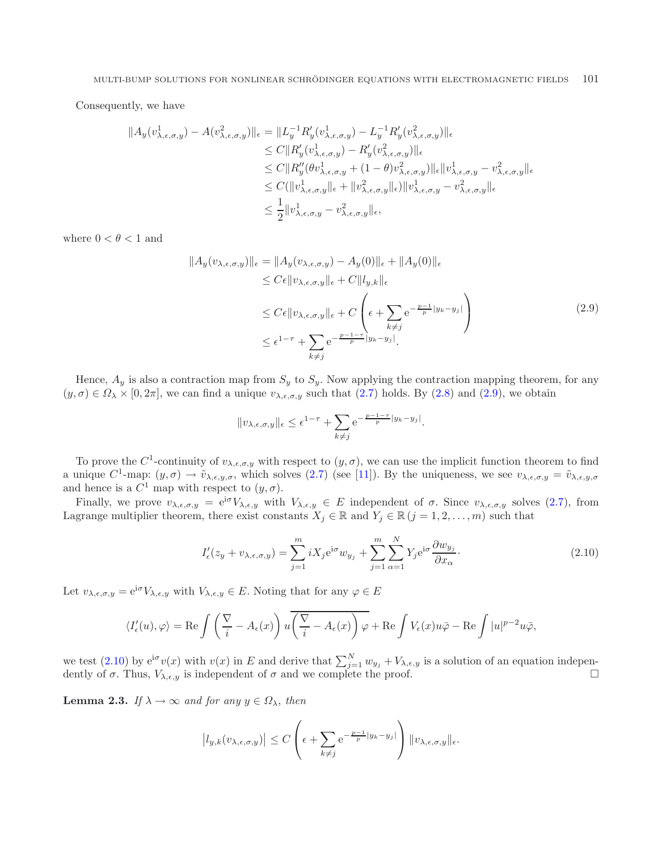<span id="page-10-1"></span>Consequently, we have

$$
||A_y(v_{\lambda,\epsilon,\sigma,y}^1) - A(v_{\lambda,\epsilon,\sigma,y}^2)||_{\epsilon} = ||L_y^{-1}R'_y(v_{\lambda,\epsilon,\sigma,y}^1) - L_y^{-1}R'_y(v_{\lambda,\epsilon,\sigma,y}^2)||_{\epsilon}
$$
  
\n
$$
\leq C||R'_y(v_{\lambda,\epsilon,\sigma,y}^1) - R'_y(v_{\lambda,\epsilon,\sigma,y}^2)||_{\epsilon}
$$
  
\n
$$
\leq C||R''_y(\theta v_{\lambda,\epsilon,\sigma,y}^1 + (1-\theta)v_{\lambda,\epsilon,\sigma,y}^2)||_{\epsilon}||v_{\lambda,\epsilon,\sigma,y}^1 - v_{\lambda,\epsilon,\sigma,y}^2||_{\epsilon}
$$
  
\n
$$
\leq C(||v_{\lambda,\epsilon,\sigma,y}^1||_{\epsilon} + ||v_{\lambda,\epsilon,\sigma,y}^2||_{\epsilon})||v_{\lambda,\epsilon,\sigma,y}^1 - v_{\lambda,\epsilon,\sigma,y}^2||_{\epsilon}
$$
  
\n
$$
\leq \frac{1}{2}||v_{\lambda,\epsilon,\sigma,y}^1 - v_{\lambda,\epsilon,\sigma,y}^2||_{\epsilon},
$$

where  $0 < \theta < 1$  and

$$
||A_y(v_{\lambda,\epsilon,\sigma,y})||_{\epsilon} = ||A_y(v_{\lambda,\epsilon,\sigma,y}) - A_y(0)||_{\epsilon} + ||A_y(0)||_{\epsilon}
$$
  
\n
$$
\leq C\epsilon ||v_{\lambda,\epsilon,\sigma,y}||_{\epsilon} + C ||l_{y,k}||_{\epsilon}
$$
  
\n
$$
\leq C\epsilon ||v_{\lambda,\epsilon,\sigma,y}||_{\epsilon} + C\left(\epsilon + \sum_{k \neq j} e^{-\frac{p-1}{p}|y_k - y_j|}\right)
$$
  
\n
$$
\leq \epsilon^{1-\tau} + \sum_{k \neq j} e^{-\frac{p-1-\tau}{p}|y_k - y_j|}.
$$
\n(2.9)

Hence,  $A_y$  is also a contraction map from  $S_y$  to  $S_y$ . Now applying the contraction mapping theorem, for any  $(y, \sigma) \in \Omega_\lambda \times [0, 2\pi]$ , we can find a unique  $v_{\lambda,\epsilon,\sigma,y}$  such that  $(2.7)$  holds. By  $(2.8)$  and  $(2.9)$ , we obtain

<span id="page-10-2"></span>
$$
||v_{\lambda,\epsilon,\sigma,y}||_{\epsilon} \leq \epsilon^{1-\tau} + \sum_{k \neq j} e^{-\frac{p-1-\tau}{p}|y_k - y_j|}.
$$

To prove the C<sup>1</sup>-continuity of  $v_{\lambda,\epsilon,\sigma,y}$  with respect to  $(y,\sigma)$ , we can use the implicit function theorem to find a unique  $C^1$ -map:  $(y, \sigma) \to \tilde{v}_{\lambda,\epsilon,y,\sigma}$ , which solves  $(2.7)$  (see [\[11](#page-19-7)]). By the uniqueness, we see  $v_{\lambda,\epsilon,\sigma,y} = \tilde{v}_{\lambda,\epsilon,y,\sigma}$ and hence is a  $C^1$  map with respect to  $(y, \sigma)$ .

Finally, we prove  $v_{\lambda,\epsilon,\sigma,y} = e^{i\sigma}V_{\lambda,\epsilon,y}$  with  $V_{\lambda,\epsilon,y} \in E$  independent of  $\sigma$ . Since  $v_{\lambda,\epsilon,\sigma,y}$  solves [\(2.7\)](#page-8-0), from Lagrange multiplier theorem, there exist constants  $X_j \in \mathbb{R}$  and  $Y_j \in \mathbb{R}$   $(j = 1, 2, \ldots, m)$  such that

$$
I'_{\epsilon}(z_y + v_{\lambda,\epsilon,\sigma,y}) = \sum_{j=1}^{m} iX_j e^{i\sigma} w_{y_j} + \sum_{j=1}^{m} \sum_{\alpha=1}^{N} Y_j e^{i\sigma} \frac{\partial w_{y_j}}{\partial x_{\alpha}}.
$$
 (2.10)

Let  $v_{\lambda,\epsilon,\sigma,y} = e^{i\sigma} V_{\lambda,\epsilon,y}$  with  $V_{\lambda,\epsilon,y} \in E$ . Noting that for any  $\varphi \in E$ 

$$
\langle I'_{\epsilon}(u),\varphi\rangle = \text{Re}\int \left(\frac{\nabla}{i}-A_{\epsilon}(x)\right)u\overline{\left(\frac{\nabla}{i}-A_{\epsilon}(x)\right)\varphi} + \text{Re}\int V_{\epsilon}(x)u\bar{\varphi} - \text{Re}\int |u|^{p-2}u\bar{\varphi},
$$

we test [\(2.10\)](#page-10-2) by  $e^{i\sigma}v(x)$  with  $v(x)$  in E and derive that  $\sum_{j=1}^{N} w_{y_j} + V_{\lambda,\epsilon,y}$  is a solution of an equation independently of  $\sigma$ . Thus,  $V_{\lambda,\epsilon,y}$  is independent of  $\sigma$  and we complete the proof.

<span id="page-10-0"></span>**Lemma 2.3.** *If*  $\lambda \to \infty$  *and for any*  $y \in \Omega_{\lambda}$ , *then* 

$$
\left|l_{y,k}(v_{\lambda,\epsilon,\sigma,y})\right| \leq C \left(\epsilon + \sum_{k \neq j} e^{-\frac{p-1}{p}|y_k - y_j|} \right) \|v_{\lambda,\epsilon,\sigma,y}\|_{\epsilon}.
$$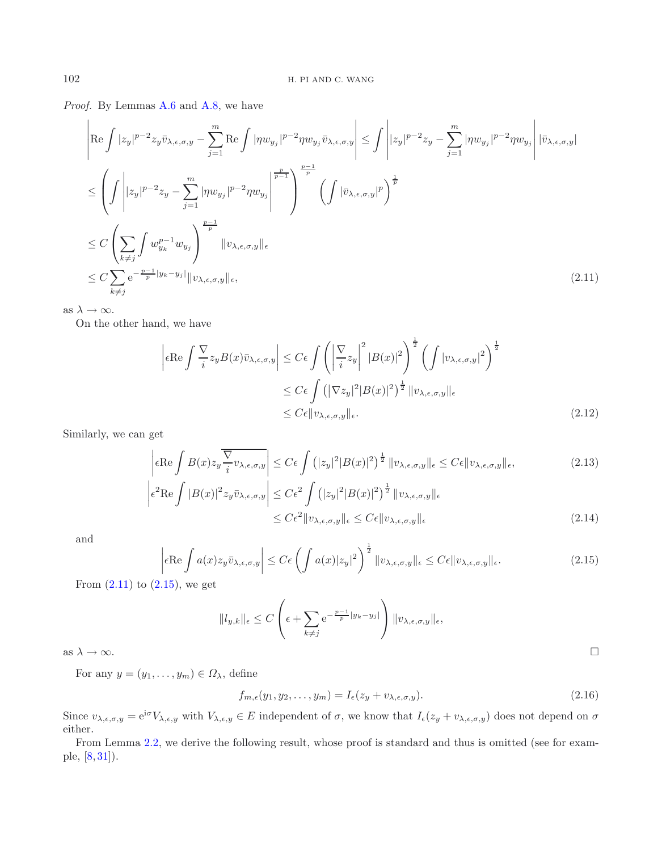*Proof.* By Lemmas [A.6](#page-18-2) and [A.8,](#page-19-15) we have

$$
\left| \operatorname{Re} \int |z_y|^{p-2} z_y \bar{v}_{\lambda, \epsilon, \sigma, y} - \sum_{j=1}^m \operatorname{Re} \int |\eta w_{y_j}|^{p-2} \eta w_{y_j} \bar{v}_{\lambda, \epsilon, \sigma, y} \right| \leq \int \left| |z_y|^{p-2} z_y - \sum_{j=1}^m |\eta w_{y_j}|^{p-2} \eta w_{y_j} \right| |\bar{v}_{\lambda, \epsilon, \sigma, y}|
$$
  
\n
$$
\leq \left( \int \left| |z_y|^{p-2} z_y - \sum_{j=1}^m |\eta w_{y_j}|^{p-2} \eta w_{y_j} \right| \right)^{\frac{p-1}{p}} \left( \int |\bar{v}_{\lambda, \epsilon, \sigma, y}|^p \right)^{\frac{1}{p}}
$$
  
\n
$$
\leq C \left( \sum_{k \neq j} \int w_{y_k}^{p-1} w_{y_j} \right)^{\frac{p-1}{p}} \|v_{\lambda, \epsilon, \sigma, y}\|_{\epsilon}
$$
  
\n
$$
\leq C \sum_{k \neq j} e^{-\frac{p-1}{p} |y_k - y_j|} \|v_{\lambda, \epsilon, \sigma, y}\|_{\epsilon}, \tag{2.11}
$$

as  $\lambda \to \infty$ .

<span id="page-11-1"></span>On the other hand, we have

<span id="page-11-0"></span>
$$
\left| \epsilon \operatorname{Re} \int \frac{\nabla}{i} z_y B(x) \bar{v}_{\lambda,\epsilon,\sigma,y} \right| \le C\epsilon \int \left( \left| \frac{\nabla}{i} z_y \right|^2 |B(x)|^2 \right)^{\frac{1}{2}} \left( \int |v_{\lambda,\epsilon,\sigma,y}|^2 \right)^{\frac{1}{2}} \n\le C\epsilon \int \left( |\nabla z_y|^2 |B(x)|^2 \right)^{\frac{1}{2}} \|v_{\lambda,\epsilon,\sigma,y}\|_{\epsilon} \n\le C\epsilon \|v_{\lambda,\epsilon,\sigma,y}\|_{\epsilon}.
$$
\n(2.12)

Similarly, we can get

$$
\left| \epsilon \operatorname{Re} \int B(x) z_y \frac{\nabla}{i} v_{\lambda,\epsilon,\sigma,y} \right| \le C\epsilon \int \left( |z_y|^2 |B(x)|^2 \right)^{\frac{1}{2}} \|v_{\lambda,\epsilon,\sigma,y}\|_{\epsilon} \le C\epsilon \|v_{\lambda,\epsilon,\sigma,y}\|_{\epsilon},
$$
\n(2.13)\n
$$
\left| \epsilon^2 \operatorname{Re} \int |B(x)|^2 z_y \bar{v}_{\lambda,\epsilon,\sigma,y} \right| \le C\epsilon^2 \int \left( |z_y|^2 |B(x)|^2 \right)^{\frac{1}{2}} \|v_{\lambda,\epsilon,\sigma,y}\|_{\epsilon}
$$

<span id="page-11-2"></span>
$$
{}^{2}\text{Re}\int |B(x)|^{2}z_{y}\bar{v}_{\lambda,\epsilon,\sigma,y} \leq C\epsilon^{2}\int (|z_{y}|^{2}|B(x)|^{2})^{\frac{1}{2}}\|v_{\lambda,\epsilon,\sigma,y}\|_{\epsilon}
$$
  

$$
\leq C\epsilon^{2}\|v_{\lambda,\epsilon,\sigma,y}\|_{\epsilon} \leq C\epsilon \|v_{\lambda,\epsilon,\sigma,y}\|_{\epsilon}
$$
\n(2.14)

and

$$
\left| \epsilon \text{Re} \int a(x) z_y \bar{v}_{\lambda, \epsilon, \sigma, y} \right| \le C \epsilon \left( \int a(x) |z_y|^2 \right)^{\frac{1}{2}} \|v_{\lambda, \epsilon, \sigma, y}\|_{\epsilon} \le C \epsilon \|v_{\lambda, \epsilon, \sigma, y}\|_{\epsilon}.
$$
\n(2.15)

From  $(2.11)$  to  $(2.15)$ , we get

 $\overline{\phantom{a}}$ 

 $\mid$ 

<span id="page-11-3"></span>
$$
||l_{y,k}||_{\epsilon} \le C \left(\epsilon + \sum_{k \ne j} e^{-\frac{p-1}{p}|y_k - y_j|} \right) ||v_{\lambda,\epsilon,\sigma,y}||_{\epsilon},
$$
 as  $\lambda \to \infty$ .

For any  $y = (y_1, \ldots, y_m) \in \Omega_{\lambda}$ , define

$$
f_{m,\epsilon}(y_1, y_2, \dots, y_m) = I_{\epsilon}(z_y + v_{\lambda,\epsilon,\sigma,y}).
$$
\n(2.16)

Since  $v_{\lambda,\epsilon,\sigma,y} = e^{i\sigma} V_{\lambda,\epsilon,y}$  with  $V_{\lambda,\epsilon,y} \in E$  independent of  $\sigma$ , we know that  $I_{\epsilon}(z_y + v_{\lambda,\epsilon,\sigma,y})$  does not depend on  $\sigma$ either.

From Lemma [2.2,](#page-6-0) we derive the following result, whose proof is standard and thus is omitted (see for example, [\[8](#page-19-16), [31\]](#page-20-18)).

 $\hfill \square$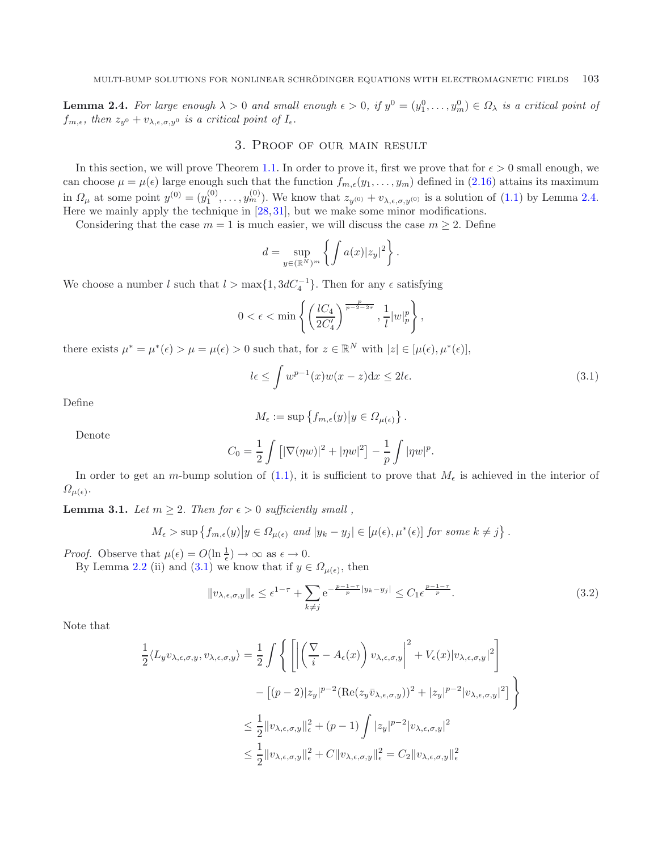<span id="page-12-0"></span>**Lemma 2.4.** For large enough  $\lambda > 0$  and small enough  $\epsilon > 0$ , if  $y^0 = (y_1^0, \ldots, y_m^0) \in \Omega_{\lambda}$  is a critical point of  $f_{m,\epsilon}$ , then  $z_{y0} + v_{\lambda,\epsilon,\sigma,y0}$  is a critical point of  $I_{\epsilon}$ .

## 3. Proof of our main result

In this section, we will prove Theorem [1.1.](#page-3-1) In order to prove it, first we prove that for  $\epsilon > 0$  small enough, we can choose  $\mu = \mu(\epsilon)$  large enough such that the function  $f_{m,\epsilon}(y_1,\ldots,y_m)$  defined in  $(2.16)$  attains its maximum in  $\Omega_{\mu}$  at some point  $y^{(0)} = (y_1^{(0)}, \ldots, y_m^{(0)})$ . We know that  $z_{y^{(0)}} + v_{\lambda,\epsilon,\sigma,y^{(0)}}$  is a solution of [\(1.1\)](#page-0-0) by Lemma [2.4.](#page-11-3) Here we mainly apply the technique in [\[28,](#page-20-21) [31\]](#page-20-18), but we make some minor modifications.

Considering that the case  $m = 1$  is much easier, we will discuss the case  $m \geq 2$ . Define

<span id="page-12-1"></span>
$$
d = \sup_{y \in (\mathbb{R}^N)^m} \left\{ \int a(x) |z_y|^2 \right\}.
$$

We choose a number l such that  $l > \max\{1, 3dC_4^{-1}\}\$ . Then for any  $\epsilon$  satisfying

$$
0 < \epsilon < \min\left\{ \left( \frac{lC_4}{2C_4'} \right)^{\frac{p}{p-2-2\tau}}, \frac{1}{l} |w|_p^p \right\},\right\}
$$

there exists  $\mu^* = \mu^*(\epsilon) > \mu = \mu(\epsilon) > 0$  such that, for  $z \in \mathbb{R}^N$  with  $|z| \in [\mu(\epsilon), \mu^*(\epsilon)],$ 

$$
l\epsilon \le \int w^{p-1}(x)w(x-z)dx \le 2l\epsilon. \tag{3.1}
$$

.

Define

<span id="page-12-3"></span>
$$
M_{\epsilon} := \sup \left\{ f_{m,\epsilon}(y) \middle| y \in \Omega_{\mu(\epsilon)} \right\}.
$$

Denote

$$
C_0 = \frac{1}{2} \int [|\nabla(\eta w)|^2 + |\eta w|^2] - \frac{1}{p} \int |\eta w|^p.
$$

In order to get an m-bump solution of  $(1.1)$ , it is sufficient to prove that  $M_{\epsilon}$  is achieved in the interior of  $\Omega_{\mu(\epsilon)}$ .

<span id="page-12-2"></span>**Lemma 3.1.** *Let*  $m \geq 2$ . *Then for*  $\epsilon > 0$  *sufficiently small*,

$$
M_{\epsilon} > \sup \left\{ f_{m,\epsilon}(y) \middle| y \in \Omega_{\mu(\epsilon)} \text{ and } |y_k - y_j| \in [\mu(\epsilon), \mu^*(\epsilon)] \text{ for some } k \neq j \right\}
$$

*Proof.* Observe that  $\mu(\epsilon) = O(\ln \frac{1}{\epsilon}) \to \infty$  as  $\epsilon \to 0$ .

By Lemma [2.2](#page-6-0) (ii) and [\(3.1\)](#page-12-1) we know that if  $y \in \Omega_{\mu(\epsilon)}$ , then

$$
||v_{\lambda,\epsilon,\sigma,y}||_{\epsilon} \leq \epsilon^{1-\tau} + \sum_{k \neq j} e^{-\frac{p-1-\tau}{p}|y_k - y_j|} \leq C_1 \epsilon^{\frac{p-1-\tau}{p}}.
$$
\n(3.2)

Note that

$$
\frac{1}{2} \langle L_y v_{\lambda,\epsilon,\sigma,y}, v_{\lambda,\epsilon,\sigma,y} \rangle = \frac{1}{2} \int \left\{ \left[ \left| \left( \frac{\nabla}{i} - A_{\epsilon}(x) \right) v_{\lambda,\epsilon,\sigma,y} \right|^2 + V_{\epsilon}(x) |v_{\lambda,\epsilon,\sigma,y}|^2 \right] \right. \\ \left. - \left[ (p-2) |z_y|^{p-2} (\text{Re}(z_y \bar{v}_{\lambda,\epsilon,\sigma,y}))^2 + |z_y|^{p-2} |v_{\lambda,\epsilon,\sigma,y}|^2 \right] \right\} \\ \leq \frac{1}{2} ||v_{\lambda,\epsilon,\sigma,y}||_{\epsilon}^2 + (p-1) \int |z_y|^{p-2} |v_{\lambda,\epsilon,\sigma,y}|^2 \\ \leq \frac{1}{2} ||v_{\lambda,\epsilon,\sigma,y}||_{\epsilon}^2 + C ||v_{\lambda,\epsilon,\sigma,y}||_{\epsilon}^2 = C_2 ||v_{\lambda,\epsilon,\sigma,y}||_{\epsilon}^2
$$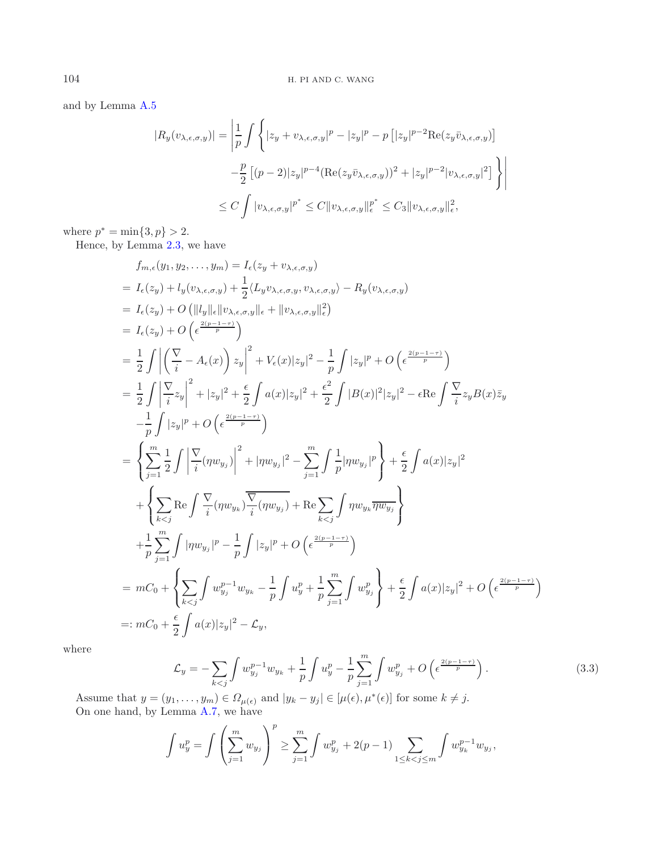and by Lemma [A.5](#page-18-3)

$$
|R_y(v_{\lambda,\epsilon,\sigma,y})| = \left| \frac{1}{p} \int \left\{ |z_y + v_{\lambda,\epsilon,\sigma,y}|^p - |z_y|^p - p [|z_y|^{p-2} \text{Re}(z_y \bar{v}_{\lambda,\epsilon,\sigma,y})] - \frac{p}{2} [(p-2)|z_y|^{p-4} (\text{Re}(z_y \bar{v}_{\lambda,\epsilon,\sigma,y}))^2 + |z_y|^{p-2} |v_{\lambda,\epsilon,\sigma,y}|^2] \right\} \right|
$$
  

$$
\leq C \int |v_{\lambda,\epsilon,\sigma,y}|^{p^*} \leq C ||v_{\lambda,\epsilon,\sigma,y}||_e^{p^*} \leq C_3 ||v_{\lambda,\epsilon,\sigma,y}||_e^2,
$$

where  $p^* = \min\{3, p\} > 2$ .

Hence, by Lemma [2.3,](#page-10-0) we have

$$
f_{m,\epsilon}(y_1, y_2,..., y_m) = I_{\epsilon}(z_y + v_{\lambda,\epsilon,\sigma,y})
$$
  
\n
$$
= I_{\epsilon}(z_y) + l_y(v_{\lambda,\epsilon,\sigma,y}) + \frac{1}{2} \langle L_y v_{\lambda,\epsilon,\sigma,y}, v_{\lambda,\epsilon,\sigma,y} \rangle - R_y(v_{\lambda,\epsilon,\sigma,y})
$$
  
\n
$$
= I_{\epsilon}(z_y) + O\left(\|\left|l_y\right\|_{\epsilon}\|\left|v_{\lambda,\epsilon,\sigma,y}\right\|_{\epsilon} + \|\left|v_{\lambda,\epsilon,\sigma,y}\right\|_{\epsilon}^{2}\right)
$$
  
\n
$$
= I_{\epsilon}(z_y) + O\left(\epsilon^{\frac{2(p-1-\tau)}{p}}\right)
$$
  
\n
$$
= \frac{1}{2} \int \left| \left(\frac{\nabla}{i} - A_{\epsilon}(x)\right) z_y\right|^2 + V_{\epsilon}(x)|z_y|^2 - \frac{1}{p} \int |z_y|^p + O\left(\epsilon^{\frac{2(p-1-\tau)}{p}}\right)
$$
  
\n
$$
= \frac{1}{2} \int \left| \frac{\nabla}{i} z_y\right|^2 + |z_y|^2 + \frac{\epsilon}{2} \int a(x)|z_y|^2 + \frac{\epsilon^2}{2} \int |B(x)|^2 |z_y|^2 - \epsilon \text{Re} \int \frac{\nabla}{i} z_y B(x) \overline{z}_y
$$
  
\n
$$
- \frac{1}{p} \int |z_y|^p + O\left(\epsilon^{\frac{2(p-1-\tau)}{p}}\right)
$$
  
\n
$$
= \left\{ \sum_{j=1}^m \frac{1}{2} \int \left| \frac{\nabla}{i} (\eta w_{y_j}) \right|^2 + |\eta w_{y_j}|^2 - \sum_{j=1}^m \int \frac{1}{p} |\eta w_{y_j}|^p \right\} + \frac{\epsilon}{2} \int a(x)|z_y|^2
$$
  
\n
$$
+ \left\{ \sum_{k  
\n
$$
+ \frac{1}{p} \sum_{j=1}
$$
$$

<span id="page-13-0"></span>where

$$
\mathcal{L}_y = -\sum_{k < j} \int w_{y_j}^{p-1} w_{y_k} + \frac{1}{p} \int u_y^p - \frac{1}{p} \sum_{j=1}^m \int w_{y_j}^p + O\left(\epsilon^{\frac{2(p-1-\tau)}{p}}\right). \tag{3.3}
$$

Assume that  $y = (y_1, \ldots, y_m) \in \Omega_{\mu(\epsilon)}$  and  $|y_k - y_j| \in [\mu(\epsilon), \mu^*(\epsilon)]$  for some  $k \neq j$ . On one hand, by Lemma [A.7,](#page-19-17) we have

$$
\int u_y^p = \int \left(\sum_{j=1}^m w_{y_j}\right)^p \ge \sum_{j=1}^m \int w_{y_j}^p + 2(p-1) \sum_{1 \le k < j \le m} \int w_{y_k}^{p-1} w_{y_j},
$$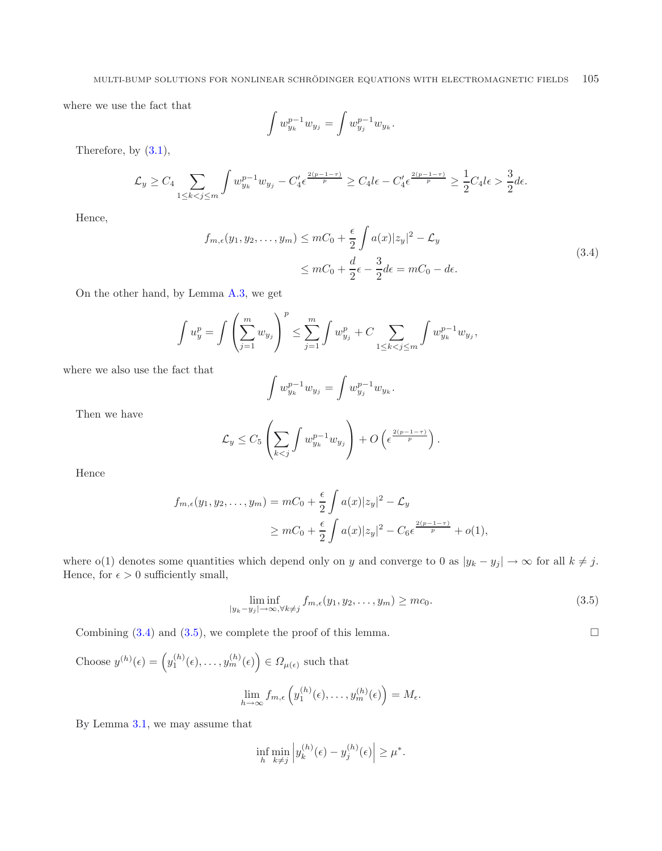<span id="page-14-0"></span>where we use the fact that

$$
\int w_{y_k}^{p-1} w_{y_j} = \int w_{y_j}^{p-1} w_{y_k}.
$$

Therefore, by [\(3.1\)](#page-12-1),

$$
\mathcal{L}_y \ge C_4 \sum_{1 \le k < j \le m} \int w_{y_k}^{p-1} w_{y_j} - C_4' \epsilon^{\frac{2(p-1-\tau)}{p}} \ge C_4 \ell^2 - C_4' \epsilon^{\frac{2(p-1-\tau)}{p}} \ge \frac{1}{2} C_4 \ell^2 > \frac{3}{2} d\epsilon.
$$

Hence,

$$
f_{m,\epsilon}(y_1, y_2, \dots, y_m) \leq mC_0 + \frac{\epsilon}{2} \int a(x)|z_y|^2 - \mathcal{L}_y
$$
  
 
$$
\leq mC_0 + \frac{d}{2}\epsilon - \frac{3}{2}d\epsilon = mC_0 - d\epsilon.
$$
 (3.4)

On the other hand, by Lemma [A.3,](#page-18-4) we get

$$
\int u_y^p = \int \left(\sum_{j=1}^m w_{y_j}\right)^p \le \sum_{j=1}^m \int w_{y_j}^p + C \sum_{1 \le k < j \le m} \int w_{y_k}^{p-1} w_{y_j},
$$

where we also use the fact that

$$
\int w_{y_k}^{p-1} w_{y_j} = \int w_{y_j}^{p-1} w_{y_k}.
$$

Then we have

<span id="page-14-1"></span>
$$
\mathcal{L}_y \leq C_5 \left( \sum_{k < j} \int w_{y_k}^{p-1} w_{y_j} \right) + O\left(\epsilon^{\frac{2(p-1-\tau)}{p}}\right).
$$

Hence

$$
f_{m,\epsilon}(y_1, y_2, \dots, y_m) = mC_0 + \frac{\epsilon}{2} \int a(x)|z_y|^2 - \mathcal{L}_y
$$
  
 
$$
\geq mC_0 + \frac{\epsilon}{2} \int a(x)|z_y|^2 - C_6 \epsilon^{\frac{2(p-1-\tau)}{p}} + o(1),
$$

where o(1) denotes some quantities which depend only on y and converge to 0 as  $|y_k - y_j| \to \infty$  for all  $k \neq j$ . Hence, for  $\epsilon > 0$  sufficiently small,

$$
\liminf_{|y_k - y_j| \to \infty, \forall k \neq j} f_{m,\epsilon}(y_1, y_2, \dots, y_m) \geq mc_0.
$$
\n(3.5)

 $\hfill \square$ 

Combining  $(3.4)$  and  $(3.5)$ , we complete the proof of this lemma.

Choose 
$$
y^{(h)}(\epsilon) = (y_1^{(h)}(\epsilon), \dots, y_m^{(h)}(\epsilon)) \in \Omega_{\mu(\epsilon)}
$$
 such that  

$$
\lim_{h \to \infty} f_{m,\epsilon} (y_1^{(h)}(\epsilon), \dots, y_m^{(h)}(\epsilon)) = M_{\epsilon}.
$$

By Lemma [3.1,](#page-12-2) we may assume that

$$
\inf_{h} \min_{k \neq j} \left| y_k^{(h)}(\epsilon) - y_j^{(h)}(\epsilon) \right| \geq \mu^*.
$$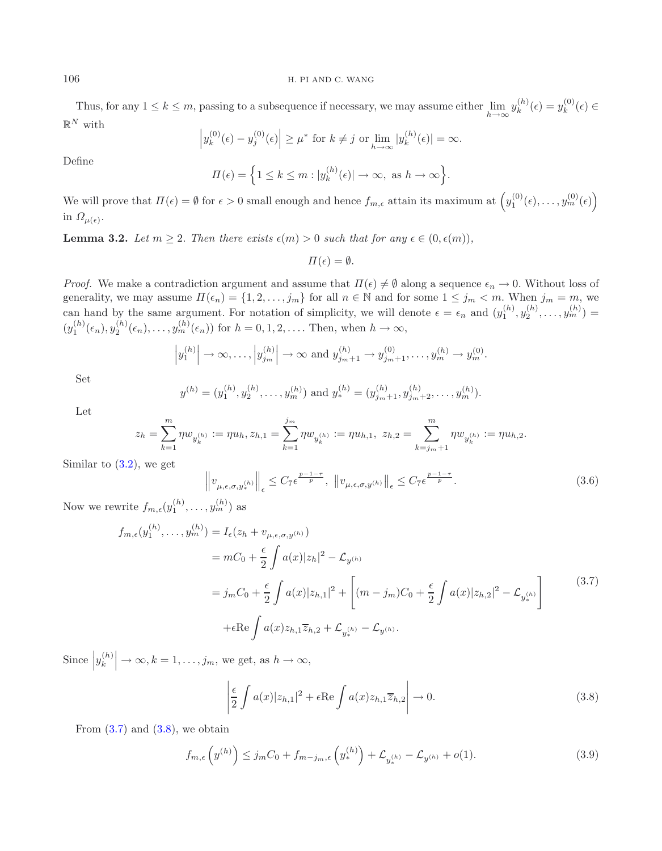Thus, for any  $1 \leq k \leq m$ , passing to a subsequence if necessary, we may assume either  $\lim_{h \to \infty} y_k^{(h)}(\epsilon) = y_k^{(0)}(\epsilon) \in$  $\mathbb{R}^N$  with

$$
\left| y_k^{(0)}(\epsilon) - y_j^{(0)}(\epsilon) \right| \ge \mu^* \text{ for } k \ne j \text{ or } \lim_{h \to \infty} |y_k^{(h)}(\epsilon)| = \infty.
$$

Define

$$
\Pi(\epsilon) = \left\{ 1 \le k \le m : |y_k^{(h)}(\epsilon)| \to \infty, \text{ as } h \to \infty \right\}.
$$

We will prove that  $\Pi(\epsilon) = \emptyset$  for  $\epsilon > 0$  small enough and hence  $f_{m,\epsilon}$  attain its maximum at  $\left(y_1^{(0)}(\epsilon), \ldots, y_m^{(0)}(\epsilon)\right)$ in  $\Omega_{\mu(\epsilon)}$ .

<span id="page-15-3"></span>**Lemma 3.2.** Let  $m \geq 2$ . Then there exists  $\epsilon(m) > 0$  such that for any  $\epsilon \in (0, \epsilon(m))$ ,

$$
\Pi(\epsilon) = \emptyset.
$$

*Proof.* We make a contradiction argument and assume that  $\Pi(\epsilon) \neq \emptyset$  along a sequence  $\epsilon_n \to 0$ . Without loss of generality, we may assume  $\Pi(\epsilon_n) = \{1, 2, ..., j_m\}$  for all  $n \in \mathbb{N}$  and for some  $1 \le j_m < m$ . When  $j_m = m$ , we can hand by the same argument. For notation of simplicity, we will denote  $\epsilon = \epsilon_n$  and  $(y_1^{(h)}, y_2^{(h)}, \ldots, y_m^{(h)}) =$  $(y_1^{(h)}(\epsilon_n), y_2^{(h)}(\epsilon_n), \ldots, y_m^{(h)}(\epsilon_n))$  for  $h = 0, 1, 2, \ldots$ . Then, when  $h \to \infty$ ,

<span id="page-15-0"></span>
$$
|y_1^{(h)}| \to \infty, ..., |y_{j_m}^{(h)}| \to \infty
$$
 and  $y_{j_m+1}^{(h)} \to y_{j_m+1}^{(0)}, ..., y_m^{(h)} \to y_m^{(0)}$ .

Set

$$
y^{(h)} = (y_1^{(h)}, y_2^{(h)}, \dots, y_m^{(h)})
$$
 and  $y_*^{(h)} = (y_{j_m+1}^{(h)}, y_{j_m+2}^{(h)}, \dots, y_m^{(h)})$ .

Let

$$
z_h=\sum_{k=1}^m\eta w_{y_k^{(h)}}:=\eta u_h, z_{h,1}=\sum_{k=1}^{j_m}\eta w_{y_k^{(h)}}:=\eta u_{h,1},\ z_{h,2}=\sum_{k=j_m+1}^m\eta w_{y_k^{(h)}}:=\eta u_{h,2}.
$$

Similar to  $(3.2)$ , we get

<span id="page-15-1"></span>
$$
\left\|v_{\mu,\epsilon,\sigma,y_{*}^{(h)}}\right\|_{\epsilon} \le C_{7}\epsilon^{\frac{p-1-\tau}{p}}, \ \left\|v_{\mu,\epsilon,\sigma,y^{(h)}}\right\|_{\epsilon} \le C_{7}\epsilon^{\frac{p-1-\tau}{p}}.
$$
\n(3.6)

Now we rewrite  $f_{m,\epsilon}(y_1^{(h)}, \ldots, y_m^{(h)})$  as

<span id="page-15-2"></span>
$$
f_{m,\epsilon}(y_1^{(h)}, \dots, y_m^{(h)}) = I_{\epsilon}(z_h + v_{\mu,\epsilon,\sigma,y^{(h)}})
$$
  
\n
$$
= mC_0 + \frac{\epsilon}{2} \int a(x)|z_h|^2 - \mathcal{L}_{y^{(h)}}
$$
  
\n
$$
= j_m C_0 + \frac{\epsilon}{2} \int a(x)|z_{h,1}|^2 + \left[ (m - j_m)C_0 + \frac{\epsilon}{2} \int a(x)|z_{h,2}|^2 - \mathcal{L}_{y_*^{(h)}} \right]
$$
  
\n
$$
+ \epsilon \text{Re} \int a(x)z_{h,1}\overline{z}_{h,2} + \mathcal{L}_{y_*^{(h)}} - \mathcal{L}_{y^{(h)}}.
$$
\n(3.7)

Since  $|y_k^{(h)}| \to \infty, k = 1, \ldots, j_m$ , we get, as  $h \to \infty$ ,

$$
\left| \frac{\epsilon}{2} \int a(x)|z_{h,1}|^2 + \epsilon \operatorname{Re} \int a(x)z_{h,1}\overline{z}_{h,2} \right| \to 0. \tag{3.8}
$$

From  $(3.7)$  and  $(3.8)$ , we obtain

$$
f_{m,\epsilon}\left(y^{(h)}\right) \le j_m C_0 + f_{m-j_m,\epsilon}\left(y_*^{(h)}\right) + \mathcal{L}_{y_*^{(h)}} - \mathcal{L}_{y^{(h)}} + o(1). \tag{3.9}
$$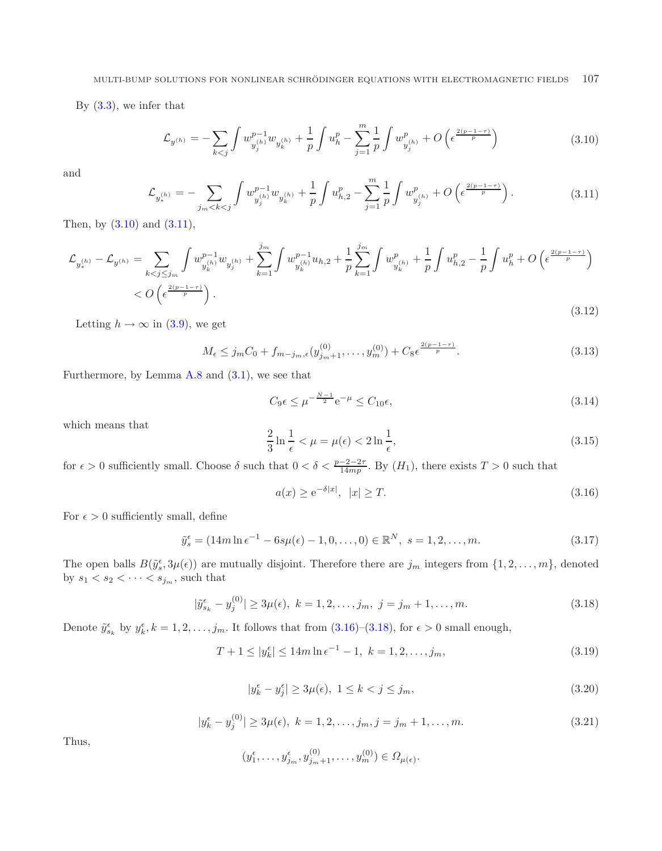<span id="page-16-4"></span><span id="page-16-1"></span><span id="page-16-0"></span>By [\(3.3\)](#page-13-0), we infer that

$$
\mathcal{L}_{y^{(h)}} = -\sum_{k < j} \int w_{y_j^{(h)}}^{p-1} w_{y_k^{(h)}} + \frac{1}{p} \int u_h^p - \sum_{j=1}^m \frac{1}{p} \int w_{y_j^{(h)}}^p + O\left(\epsilon^{\frac{2(p-1-\tau)}{p}}\right) \tag{3.10}
$$

and

<span id="page-16-9"></span><span id="page-16-5"></span>
$$
\mathcal{L}_{y_{*}^{(h)}} = -\sum_{j_{m} < k < j} \int w_{y_{j}^{(h)}}^{p-1} w_{y_{k}^{(h)}} + \frac{1}{p} \int u_{h,2}^{p} - \sum_{j=1}^{m} \frac{1}{p} \int w_{y_{j}^{(h)}}^{p} + O\left(\epsilon^{\frac{2(p-1-\tau)}{p}}\right). \tag{3.11}
$$

Then, by  $(3.10)$  and  $(3.11)$ ,

$$
\mathcal{L}_{y_{*}^{(h)}} - \mathcal{L}_{y^{(h)}} = \sum_{k < j \leq j_m} \int w_{y_{k}^{(h)}}^{p-1} w_{y_{j}^{(h)}} + \sum_{k=1}^{j_m} \int w_{y_{k}^{(h)}}^{p-1} u_{h,2} + \frac{1}{p} \sum_{k=1}^{j_m} \int w_{y_{k}^{(h)}}^p + \frac{1}{p} \int u_{h,2}^p - \frac{1}{p} \int u_h^p + O\left(\epsilon^{\frac{2(p-1-\tau)}{p}}\right) \n< O\left(\epsilon^{\frac{2(p-1-\tau)}{p}}\right).
$$
\n(3.12)

Letting  $h \to \infty$  in [\(3.9\)](#page-15-2), we get

<span id="page-16-3"></span>
$$
M_{\epsilon} \le j_m C_0 + f_{m-j_m,\epsilon}(y_{j_m+1}^{(0)}, \dots, y_m^{(0)}) + C_8 \epsilon^{\frac{2(p-1-\tau)}{p}}.
$$
\n(3.13)

Furthermore, by Lemma  $A.8$  and  $(3.1)$ , we see that

<span id="page-16-2"></span>
$$
C_9 \epsilon \le \mu^{-\frac{N-1}{2}} e^{-\mu} \le C_{10} \epsilon,
$$
\n(3.14)

which means that

$$
\frac{2}{3}\ln\frac{1}{\epsilon} < \mu = \mu(\epsilon) < 2\ln\frac{1}{\epsilon},\tag{3.15}
$$

for  $\epsilon > 0$  sufficiently small. Choose  $\delta$  such that  $0 < \delta < \frac{p-2-2\tau}{14mp}$ . By  $(H_1)$ , there exists  $T > 0$  such that

<span id="page-16-8"></span>
$$
a(x) \ge e^{-\delta|x|}, \ |x| \ge T. \tag{3.16}
$$

<span id="page-16-6"></span>For  $\epsilon > 0$  sufficiently small, define

$$
\tilde{y}_s^{\epsilon} = (14m \ln \epsilon^{-1} - 6s\mu(\epsilon) - 1, 0, \dots, 0) \in \mathbb{R}^N, \ s = 1, 2, \dots, m. \tag{3.17}
$$

<span id="page-16-7"></span>The open balls  $B(\tilde{y}_{s}^{\epsilon},3\mu(\epsilon))$  are mutually disjoint. Therefore there are  $j_m$  integers from  $\{1,2,\ldots,m\}$ , denoted by  $s_1 < s_2 < \cdots < s_{j_m}$ , such that

$$
|\tilde{y}_{s_k}^{\epsilon} - y_j^{(0)}| \ge 3\mu(\epsilon), \ k = 1, 2, \dots, j_m, \ j = j_m + 1, \dots, m. \tag{3.18}
$$

Denote  $\tilde{y}_{s_k}^{\epsilon}$  by  $y_k^{\epsilon}$ ,  $k = 1, 2, ..., j_m$ . It follows that from  $(3.16)$ – $(3.18)$ , for  $\epsilon > 0$  small enough,

$$
T + 1 \le |y_k^{\epsilon}| \le 14m \ln \epsilon^{-1} - 1, \ k = 1, 2, \dots, j_m,
$$
\n(3.19)

$$
|y_k^{\epsilon} - y_j^{\epsilon}| \ge 3\mu(\epsilon), \ 1 \le k < j \le j_m,\tag{3.20}
$$

$$
|y_k^{\epsilon} - y_j^{(0)}| \ge 3\mu(\epsilon), \ k = 1, 2, \dots, j_m, j = j_m + 1, \dots, m.
$$
 (3.21)

Thus,

$$
(y_1^{\epsilon},...,y_{j_m}^{\epsilon},y_{j_m+1}^{(0)},...,y_m^{(0)}) \in \Omega_{\mu(\epsilon)}.
$$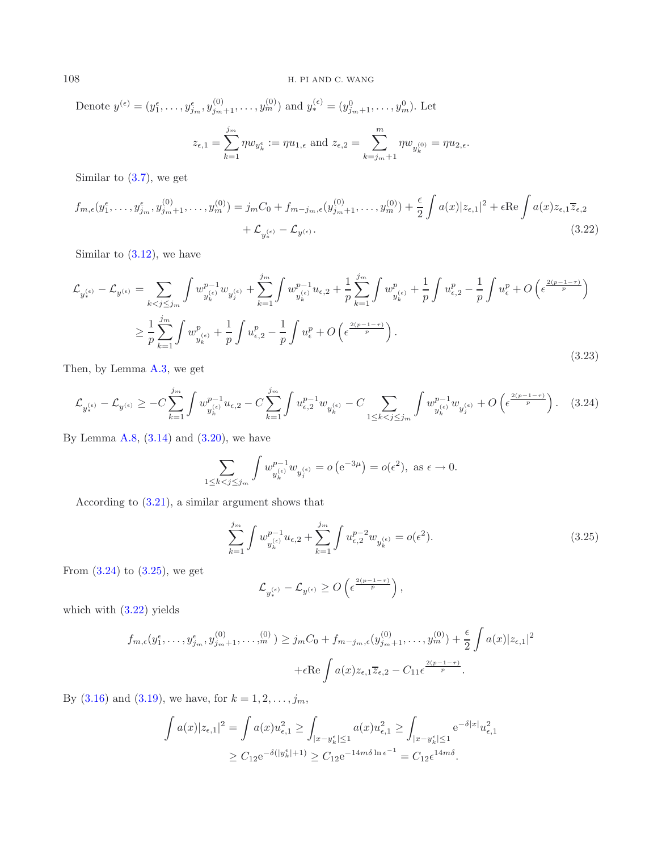<span id="page-17-2"></span>Denote 
$$
y^{(\epsilon)} = (y_1^{\epsilon}, \dots, y_{j_m}^{\epsilon}, y_{j_m+1}^{(0)}, \dots, y_m^{(0)})
$$
 and  $y_*^{(\epsilon)} = (y_{j_m+1}^0, \dots, y_m^0)$ . Let  

$$
z_{\epsilon,1} = \sum_{k=1}^{j_m} \eta w_{y_k^{\epsilon}} := \eta u_{1,\epsilon} \text{ and } z_{\epsilon,2} = \sum_{k=j_m+1}^{m} \eta w_{y_k^{(0)}} = \eta u_{2,\epsilon}.
$$

Similar to  $(3.7)$ , we get

<span id="page-17-0"></span>
$$
f_{m,\epsilon}(y_1^{\epsilon},\ldots,y_{j_m}^{\epsilon},y_{j_m+1}^{(0)},\ldots,y_m^{(0)}) = j_m C_0 + f_{m-j_m,\epsilon}(y_{j_m+1}^{(0)},\ldots,y_m^{(0)}) + \frac{\epsilon}{2} \int a(x)|z_{\epsilon,1}|^2 + \epsilon \operatorname{Re} \int a(x)z_{\epsilon,1}\overline{z}_{\epsilon,2} + \mathcal{L}_{y_*^{(\epsilon)}} - \mathcal{L}_{y^{(\epsilon)}}.
$$
\n(3.22)

Similar to  $(3.12)$ , we have

$$
\mathcal{L}_{y_{\ast}^{(\epsilon)}} - \mathcal{L}_{y_{\ast}^{(\epsilon)}} = \sum_{k < j \leq j_m} \int w_{y_{k}^{(\epsilon)}}^{p-1} w_{y_{j}^{(\epsilon)}} + \sum_{k=1}^{j_m} \int w_{y_{k}^{(\epsilon)}}^{p-1} u_{\epsilon,2} + \frac{1}{p} \sum_{k=1}^{j_m} \int w_{y_{k}^{(\epsilon)}}^p + \frac{1}{p} \int u_{\epsilon,2}^p - \frac{1}{p} \int u_{\epsilon}^p + O\left(\epsilon^{\frac{2(p-1-\tau)}{p}}\right)
$$
\n
$$
\geq \frac{1}{p} \sum_{k=1}^{j_m} \int w_{y_{k}^{(\epsilon)}}^p + \frac{1}{p} \int u_{\epsilon,2}^p - \frac{1}{p} \int u_{\epsilon}^p + O\left(\epsilon^{\frac{2(p-1-\tau)}{p}}\right).
$$
\n(3.23)

Then, by Lemma [A.3,](#page-18-4) we get

$$
\mathcal{L}_{y_{*}^{(\epsilon)}} - \mathcal{L}_{y^{(\epsilon)}} \geq -C \sum_{k=1}^{j_{m}} \int w_{y_{k}^{(\epsilon)}}^{p-1} u_{\epsilon,2} - C \sum_{k=1}^{j_{m}} \int u_{\epsilon,2}^{p-1} w_{y_{k}^{(\epsilon)}} - C \sum_{1 \leq k < j \leq j_{m}} \int w_{y_{k}^{(\epsilon)}}^{p-1} w_{y_{j}^{(\epsilon)}} + O\left(\epsilon^{\frac{2(p-1-\tau)}{p}}\right). \tag{3.24}
$$

By Lemma [A.8,](#page-19-15)  $(3.14)$  and  $(3.20)$ , we have

<span id="page-17-1"></span>
$$
\sum_{1 \leq k < j \leq j_m} \int w_{y_k^{(\epsilon)}}^{p-1} w_{y_j^{(\epsilon)}} = o\left(\mathrm{e}^{-3\mu}\right) = o(\epsilon^2), \text{ as } \epsilon \to 0.
$$

According to [\(3.21\)](#page-16-7), a similar argument shows that

$$
\sum_{k=1}^{j_m} \int w_{y_k^{(\epsilon)}}^{p-1} u_{\epsilon,2} + \sum_{k=1}^{j_m} \int u_{\epsilon,2}^{p-2} w_{y_k^{(\epsilon)}} = o(\epsilon^2). \tag{3.25}
$$

From  $(3.24)$  to  $(3.25)$ , we get

$$
\mathcal{L}_{y_*^{(\epsilon)}} - \mathcal{L}_{y^{(\epsilon)}} \geq O\left(\epsilon^{\frac{2(p-1-\tau)}{p}}\right),
$$

which with  $(3.22)$  yields

$$
f_{m,\epsilon}(y_1^{\epsilon},\ldots,y_{j_m}^{\epsilon},y_{j_m+1}^{(0)},\ldots,y_n^{(0)}) \geq j_m C_0 + f_{m-j_m,\epsilon}(y_{j_m+1}^{(0)},\ldots,y_m^{(0)}) + \frac{\epsilon}{2} \int a(x) |z_{\epsilon,1}|^2
$$
  
 
$$
+ \epsilon \text{Re} \int a(x) z_{\epsilon,1} \overline{z}_{\epsilon,2} - C_{11} \epsilon^{\frac{2(p-1-\tau)}{p}}.
$$

By [\(3.16\)](#page-16-2) and [\(3.19\)](#page-16-8), we have, for  $k = 1, 2, ..., j_m$ ,

$$
\int a(x)|z_{\epsilon,1}|^2 = \int a(x)u_{\epsilon,1}^2 \ge \int_{|x-y_{\epsilon}^{\epsilon}| \le 1} a(x)u_{\epsilon,1}^2 \ge \int_{|x-y_{\epsilon}^{\epsilon}| \le 1} e^{-\delta|x|}u_{\epsilon,1}^2
$$
  
 
$$
\ge C_{12}e^{-\delta(|y_{\epsilon}^{\epsilon}|+1)} \ge C_{12}e^{-14m\delta\ln\epsilon^{-1}} = C_{12}\epsilon^{14m\delta}.
$$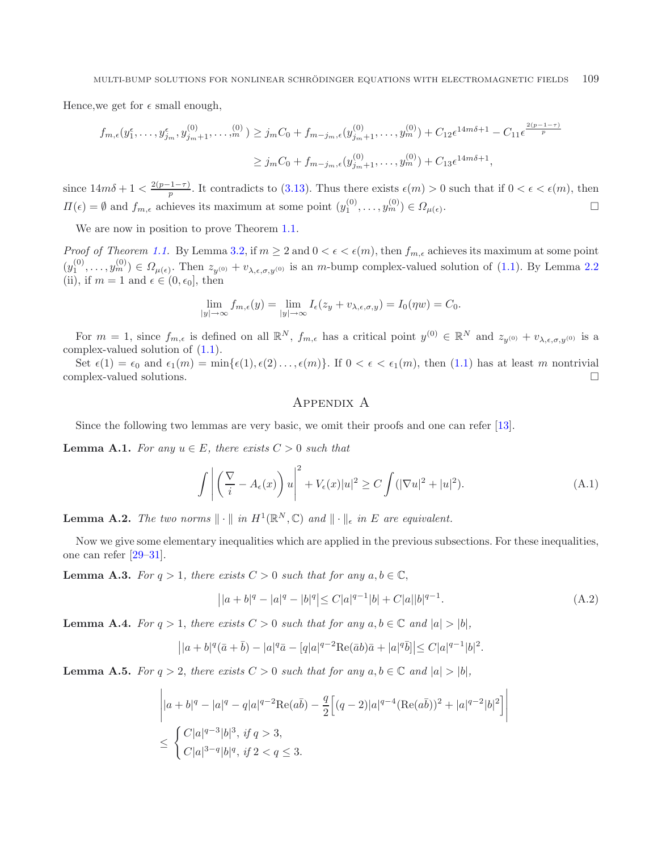Hence, we get for  $\epsilon$  small enough,

$$
f_{m,\epsilon}(y_1^{\epsilon},\ldots,y_{j_m}^{\epsilon},y_{j_m+1}^{(0)},\ldots,y_n^{(0)}) \geq j_m C_0 + f_{m-j_m,\epsilon}(y_{j_m+1}^{(0)},\ldots,y_m^{(0)}) + C_{12}\epsilon^{14m\delta+1} - C_{11}\epsilon^{\frac{2(p-1-\tau)}{p}}
$$
  

$$
\geq j_m C_0 + f_{m-j_m,\epsilon}(y_{j_m+1}^{(0)},\ldots,y_m^{(0)}) + C_{13}\epsilon^{14m\delta+1},
$$

since  $14m\delta + 1 < \frac{2(p-1-\tau)}{p}$ . It contradicts to [\(3.13\)](#page-16-9). Thus there exists  $\epsilon(m) > 0$  such that if  $0 < \epsilon < \epsilon(m)$ , then  $\Pi(\epsilon) = \emptyset$  and  $f_{m,\epsilon}$  achieves its maximum at some point  $(y_1^{(0)}, \ldots, y_m^{(0)}) \in \Omega_{\mu(\epsilon)}$  $\Box$ 

We are now in position to prove Theorem [1.1.](#page-0-0)

*Proof of Theorem [1.1.](#page-3-1)* By Lemma [3.2,](#page-15-3) if  $m \ge 2$  and  $0 < \epsilon < \epsilon(m)$ , then  $f_{m,\epsilon}$  achieves its maximum at some point  $(y_1^{(0)},...,y_m^{(0)}) \in \Omega_{\mu(\epsilon)}$ . Then  $z_{y^{(0)}} + v_{\lambda,\epsilon,\sigma,y^{(0)}}$  is an *m*-bump complex-valued solution of [\(1.1\)](#page-0-0). By Lemma [2.2](#page-6-0) (ii), if  $m = 1$  and  $\epsilon \in (0, \epsilon_0]$ , then

$$
\lim_{|y| \to \infty} f_{m,\epsilon}(y) = \lim_{|y| \to \infty} I_{\epsilon}(z_y + v_{\lambda,\epsilon,\sigma,y}) = I_0(\eta w) = C_0.
$$

For  $m = 1$ , since  $f_{m,\epsilon}$  is defined on all  $\mathbb{R}^N$ ,  $f_{m,\epsilon}$  has a critical point  $y^{(0)} \in \mathbb{R}^N$  and  $z_{y^{(0)}} + v_{\lambda,\epsilon,\sigma,y^{(0)}}$  is a complex-valued solution of [\(1.1\)](#page-0-0).

<span id="page-18-4"></span>Set  $\epsilon(1) = \epsilon_0$  and  $\epsilon_1(m) = \min{\{\epsilon(1), \epsilon(2) \ldots, \epsilon(m)\}}$ . If  $0 < \epsilon < \epsilon_1(m)$ , then  $(1.1)$  has at least m nontrivial complex-valued solutions.

#### Appendix A

Since the following two lemmas are very basic, we omit their proofs and one can refer [\[13\]](#page-19-5).

**Lemma A.1.** *For any*  $u \in E$ *, there exists*  $C > 0$  *such that* 

$$
\int \left| \left( \frac{\nabla}{i} - A_{\epsilon}(x) \right) u \right|^2 + V_{\epsilon}(x) |u|^2 \ge C \int (|\nabla u|^2 + |u|^2). \tag{A.1}
$$

<span id="page-18-0"></span>**Lemma A.2.** *The two norms*  $\|\cdot\|$  *in*  $H^1(\mathbb{R}^N, \mathbb{C})$  *and*  $\|\cdot\|_{\epsilon}$  *in*  $E$  *are equivalent.* 

Now we give some elementary inequalities which are applied in the previous subsections. For these inequalities, one can refer [\[29](#page-20-22)[–31\]](#page-20-18).

**Lemma A.3.** *For*  $q > 1$ *, there exists*  $C > 0$  *such that for any*  $a, b \in \mathbb{C}$ *,* 

$$
||a+b|^q - |a|^q - |b|^q| \le C|a|^{q-1}|b| + C|a||b|^{q-1}.
$$
\n(A.2)

<span id="page-18-1"></span>**Lemma A.4.** *For*  $q > 1$ *, there exists*  $C > 0$  *such that for any*  $a, b \in \mathbb{C}$  *and*  $|a| > |b|$ *,* 

$$
||a+b|^q(\bar{a}+\bar{b})-|a|^q\bar{a}-[q|a|^{q-2}\text{Re}(\bar{a}b)\bar{a}+|a|^q\bar{b}||\leq C|a|^{q-1}|b|^2.
$$

<span id="page-18-3"></span><span id="page-18-2"></span>**Lemma A.5.** *For*  $q > 2$ *, there exists*  $C > 0$  *such that for any*  $a, b \in \mathbb{C}$  *and*  $|a| > |b|$ *,* 

$$
\begin{aligned} & \left| |a+b|^q - |a|^q - q|a|^{q-2} \text{Re}(a\bar{b}) - \frac{q}{2} \Big[ (q-2)|a|^{q-4} (\text{Re}(a\bar{b}))^2 + |a|^{q-2} |b|^2 \Big] \right| \\ &\leq \left\{ \frac{C|a|^{q-3}|b|^3, \text{ if } q>3, \\ & C|a|^{3-q} |b|^q, \text{ if } 2 < q \leq 3. \end{aligned} \right.
$$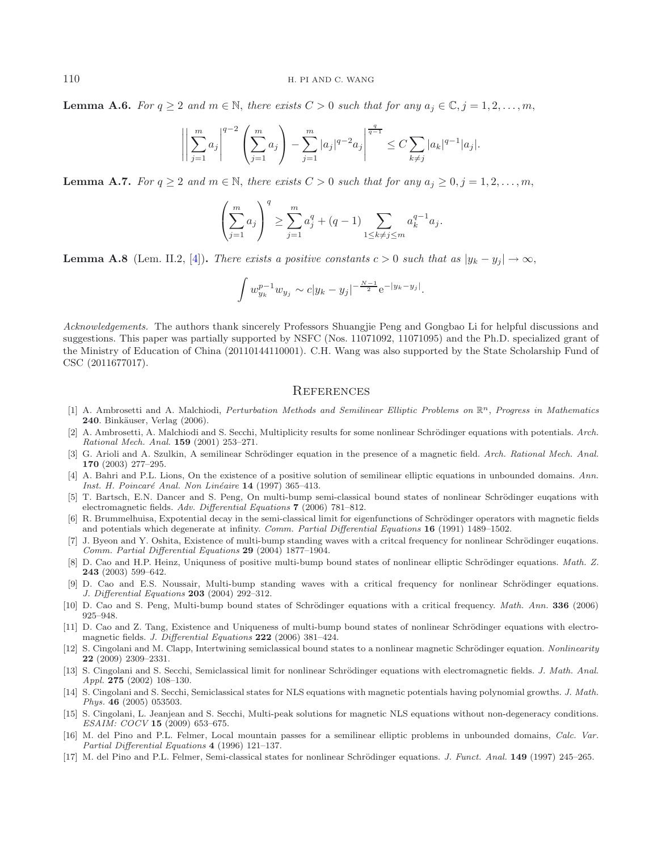**Lemma A.6.** *For*  $q \ge 2$  *and*  $m \in \mathbb{N}$ , *there exists*  $C > 0$  *such that for any*  $a_i \in \mathbb{C}, j = 1, 2, \ldots, m$ ,

$$
\left| \left| \sum_{j=1}^m a_j \right|^{q-2} \left( \sum_{j=1}^m a_j \right) - \sum_{j=1}^m |a_j|^{q-2} a_j \right|^{\frac{q}{q-1}} \leq C \sum_{k \neq j} |a_k|^{q-1} |a_j|.
$$

<span id="page-19-17"></span>**Lemma A.7.** *For*  $q \ge 2$  *and*  $m \in \mathbb{N}$ , *there exists*  $C > 0$  *such that for any*  $a_i \ge 0, j = 1, 2, \ldots, m$ ,

$$
\left(\sum_{j=1}^{m} a_j\right)^q \ge \sum_{j=1}^{m} a_j^q + (q-1) \sum_{1 \le k \ne j \le m} a_k^{q-1} a_j.
$$

<span id="page-19-15"></span>**Lemma A.8** (Lem. II.2, [\[4\]](#page-19-18))**.** *There exists a positive constants*  $c > 0$  *such that as*  $|y_k - y_j| \to \infty$ ,

$$
\int w_{y_k}^{p-1} w_{y_j} \sim c |y_k - y_j|^{-\frac{N-1}{2}} e^{-|y_k - y_j|}.
$$

*Acknowledgements.* The authors thank sincerely Professors Shuangjie Peng and Gongbao Li for helpful discussions and suggestions. This paper was partially supported by NSFC (Nos. 11071092, 11071095) and the Ph.D. specialized grant of the Ministry of Education of China (20110144110001). C.H. Wang was also supported by the State Scholarship Fund of CSC (2011677017).

#### **REFERENCES**

- <span id="page-19-14"></span>[1] A. Ambrosetti and A. Malchiodi, Perturbation Methods and Semilinear Elliptic Problems on R*n*, Progress in Mathematics **240**. Binkäuser, Verlag (2006).
- <span id="page-19-6"></span>[2] A. Ambrosetti, A. Malchiodi and S. Secchi, Multiplicity results for some nonlinear Schrödinger equations with potentials. Arch. Rational Mech. Anal. **159** (2001) 253–271.
- <span id="page-19-12"></span>[3] G. Arioli and A. Szulkin, A semilinear Schrödinger equation in the presence of a magnetic field. Arch. Rational Mech. Anal. **170** (2003) 277–295.
- <span id="page-19-18"></span>[4] A. Bahri and P.L. Lions, On the existence of a positive solution of semilinear elliptic equations in unbounded domains. Ann. Inst. H. Poincaré Anal. Non Linéaire **14** (1997) 365–413.
- <span id="page-19-9"></span>[5] T. Bartsch, E.N. Dancer and S. Peng, On multi-bump semi-classical bound states of nonlinear Schrödinger euqations with electromagnetic fields. Adv. Differential Equations **7** (2006) 781–812.
- <span id="page-19-11"></span>[6] R. Brummelhuisa, Expotential decay in the semi-classical limit for eigenfunctions of Schrödinger operators with magnetic fields and potentials which degenerate at infinity. Comm. Partial Differential Equations **16** (1991) 1489–1502.
- <span id="page-19-2"></span>[7] J. Byeon and Y. Oshita, Existence of multi-bump standing waves with a critcal frequency for nonlinear Schrödinger eugations. Comm. Partial Differential Equations **29** (2004) 1877–1904.
- <span id="page-19-16"></span>D. Cao and H.P. Heinz, Uniquness of positive multi-bump bound states of nonlinear elliptic Schrödinger equations. Math. Z. **243** (2003) 599–642.
- [9] D. Cao and E.S. Noussair, Multi-bump standing waves with a critical frequency for nonlinear Schrödinger equations. J. Differential Equations **203** (2004) 292–312.
- <span id="page-19-4"></span><span id="page-19-3"></span>[10] D. Cao and S. Peng, Multi-bump bound states of Schrödinger equations with a critical frequency. Math. Ann. 336 (2006) 925–948.
- <span id="page-19-7"></span>[11] D. Cao and Z. Tang, Existence and Uniqueness of multi-bump bound states of nonlinear Schrödinger equations with electromagnetic fields. J. Differential Equations **222** (2006) 381–424.
- <span id="page-19-13"></span>[12] S. Cingolani and M. Clapp, Intertwining semiclassical bound states to a nonlinear magnetic Schrödinger equation. Nonlinearity **22** (2009) 2309–2331.
- <span id="page-19-5"></span>[13] S. Cingolani and S. Secchi, Semiclassical limit for nonlinear Schrödinger equations with electromagnetic fields. J. Math. Anal. Appl. **275** (2002) 108–130.
- <span id="page-19-8"></span>[14] S. Cingolani and S. Secchi, Semiclassical states for NLS equations with magnetic potentials having polynomial growths. J. Math. Phys. **46** (2005) 053503.
- <span id="page-19-10"></span>[15] S. Cingolani, L. Jeanjean and S. Secchi, Multi-peak solutions for magnetic NLS equations without non-degeneracy conditions. ESAIM: COCV **15** (2009) 653–675.
- <span id="page-19-0"></span>[16] M. del Pino and P.L. Felmer, Local mountain passes for a semilinear elliptic problems in unbounded domains, Calc. Var. Partial Differential Equations **4** (1996) 121–137.
- <span id="page-19-1"></span>[17] M. del Pino and P.L. Felmer, Semi-classical states for nonlinear Schrödinger equations. *J. Funct. Anal.* **149** (1997) 245–265.